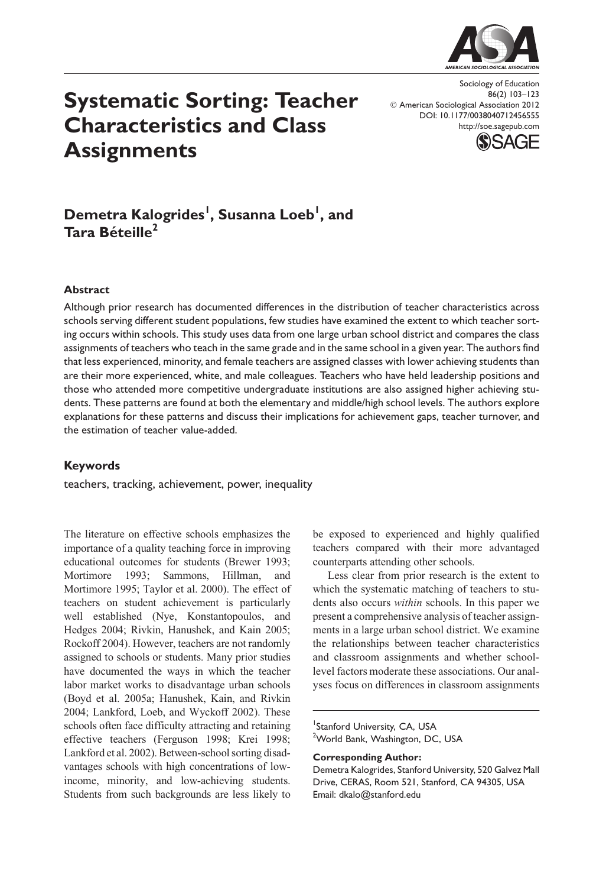

Systematic Sorting: Teacher Characteristics and Class **Assignments** 

Sociology of Education 86(2) 103–123  $\oslash$  American Sociological Association 2012 DOI: 10.1177/0038040712456555 http://soe.sagepub.com



# Demetra Kalogrides<sup>1</sup>, Susanna Loeb<sup>1</sup>, and  $\rm {Tara}$  Béteille $^2$

#### Abstract

Although prior research has documented differences in the distribution of teacher characteristics across schools serving different student populations, few studies have examined the extent to which teacher sorting occurs within schools. This study uses data from one large urban school district and compares the class assignments of teachers who teach in the same grade and in the same school in a given year. The authors find that less experienced, minority, and female teachers are assigned classes with lower achieving students than are their more experienced, white, and male colleagues. Teachers who have held leadership positions and those who attended more competitive undergraduate institutions are also assigned higher achieving students. These patterns are found at both the elementary and middle/high school levels. The authors explore explanations for these patterns and discuss their implications for achievement gaps, teacher turnover, and the estimation of teacher value-added.

#### Keywords

teachers, tracking, achievement, power, inequality

The literature on effective schools emphasizes the importance of a quality teaching force in improving educational outcomes for students (Brewer 1993; Mortimore 1993; Sammons, Hillman, and Mortimore 1995; Taylor et al. 2000). The effect of teachers on student achievement is particularly well established (Nye, Konstantopoulos, and Hedges 2004; Rivkin, Hanushek, and Kain 2005; Rockoff 2004). However, teachers are not randomly assigned to schools or students. Many prior studies have documented the ways in which the teacher labor market works to disadvantage urban schools (Boyd et al. 2005a; Hanushek, Kain, and Rivkin 2004; Lankford, Loeb, and Wyckoff 2002). These schools often face difficulty attracting and retaining effective teachers (Ferguson 1998; Krei 1998; Lankford et al. 2002). Between-school sorting disadvantages schools with high concentrations of lowincome, minority, and low-achieving students. Students from such backgrounds are less likely to be exposed to experienced and highly qualified teachers compared with their more advantaged counterparts attending other schools.

Less clear from prior research is the extent to which the systematic matching of teachers to students also occurs within schools. In this paper we present a comprehensive analysis of teacher assignments in a large urban school district. We examine the relationships between teacher characteristics and classroom assignments and whether schoollevel factors moderate these associations. Our analyses focus on differences in classroom assignments

<sup>1</sup>Stanford University, CA, USA <sup>2</sup>World Bank, Washington, DC, USA

#### Corresponding Author:

Demetra Kalogrides, Stanford University, 520 Galvez Mall Drive, CERAS, Room 521, Stanford, CA 94305, USA Email: dkalo@stanford.edu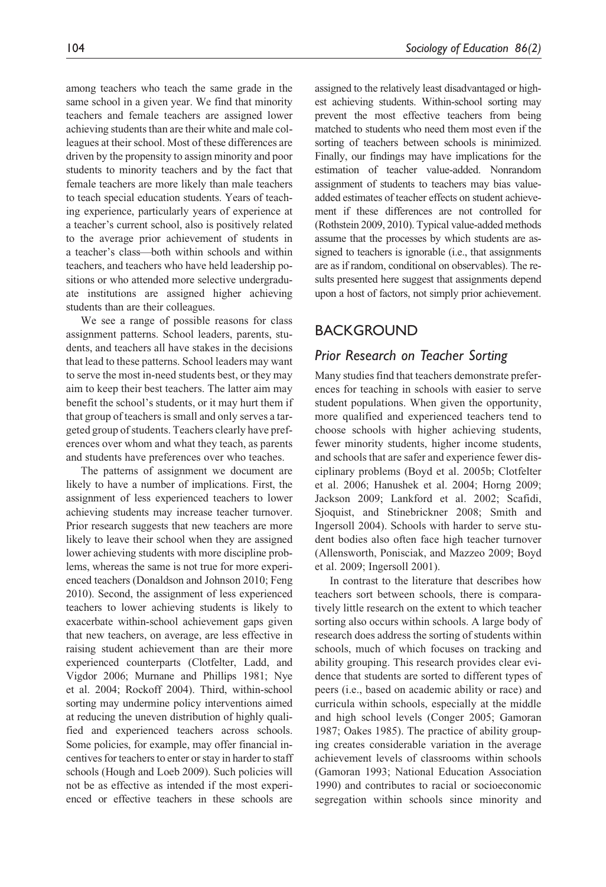among teachers who teach the same grade in the same school in a given year. We find that minority teachers and female teachers are assigned lower achieving students than are their white and male colleagues at their school. Most of these differences are driven by the propensity to assign minority and poor students to minority teachers and by the fact that female teachers are more likely than male teachers to teach special education students. Years of teaching experience, particularly years of experience at a teacher's current school, also is positively related to the average prior achievement of students in a teacher's class—both within schools and within teachers, and teachers who have held leadership positions or who attended more selective undergraduate institutions are assigned higher achieving students than are their colleagues.

We see a range of possible reasons for class assignment patterns. School leaders, parents, students, and teachers all have stakes in the decisions that lead to these patterns. School leaders may want to serve the most in-need students best, or they may aim to keep their best teachers. The latter aim may benefit the school's students, or it may hurt them if that group of teachers is small and only serves a targeted group of students. Teachers clearly have preferences over whom and what they teach, as parents and students have preferences over who teaches.

The patterns of assignment we document are likely to have a number of implications. First, the assignment of less experienced teachers to lower achieving students may increase teacher turnover. Prior research suggests that new teachers are more likely to leave their school when they are assigned lower achieving students with more discipline problems, whereas the same is not true for more experienced teachers (Donaldson and Johnson 2010; Feng 2010). Second, the assignment of less experienced teachers to lower achieving students is likely to exacerbate within-school achievement gaps given that new teachers, on average, are less effective in raising student achievement than are their more experienced counterparts (Clotfelter, Ladd, and Vigdor 2006; Murnane and Phillips 1981; Nye et al. 2004; Rockoff 2004). Third, within-school sorting may undermine policy interventions aimed at reducing the uneven distribution of highly qualified and experienced teachers across schools. Some policies, for example, may offer financial incentives for teachers to enter or stay in harder to staff schools (Hough and Loeb 2009). Such policies will not be as effective as intended if the most experienced or effective teachers in these schools are

assigned to the relatively least disadvantaged or highest achieving students. Within-school sorting may prevent the most effective teachers from being matched to students who need them most even if the sorting of teachers between schools is minimized. Finally, our findings may have implications for the estimation of teacher value-added. Nonrandom assignment of students to teachers may bias valueadded estimates of teacher effects on student achievement if these differences are not controlled for (Rothstein 2009, 2010). Typical value-added methods assume that the processes by which students are assigned to teachers is ignorable (i.e., that assignments are as if random, conditional on observables). The results presented here suggest that assignments depend upon a host of factors, not simply prior achievement.

### BACKGROUND

### Prior Research on Teacher Sorting

Many studies find that teachers demonstrate preferences for teaching in schools with easier to serve student populations. When given the opportunity, more qualified and experienced teachers tend to choose schools with higher achieving students, fewer minority students, higher income students, and schools that are safer and experience fewer disciplinary problems (Boyd et al. 2005b; Clotfelter et al. 2006; Hanushek et al. 2004; Horng 2009; Jackson 2009; Lankford et al. 2002; Scafidi, Sjoquist, and Stinebrickner 2008; Smith and Ingersoll 2004). Schools with harder to serve student bodies also often face high teacher turnover (Allensworth, Ponisciak, and Mazzeo 2009; Boyd et al. 2009; Ingersoll 2001).

In contrast to the literature that describes how teachers sort between schools, there is comparatively little research on the extent to which teacher sorting also occurs within schools. A large body of research does address the sorting of students within schools, much of which focuses on tracking and ability grouping. This research provides clear evidence that students are sorted to different types of peers (i.e., based on academic ability or race) and curricula within schools, especially at the middle and high school levels (Conger 2005; Gamoran 1987; Oakes 1985). The practice of ability grouping creates considerable variation in the average achievement levels of classrooms within schools (Gamoran 1993; National Education Association 1990) and contributes to racial or socioeconomic segregation within schools since minority and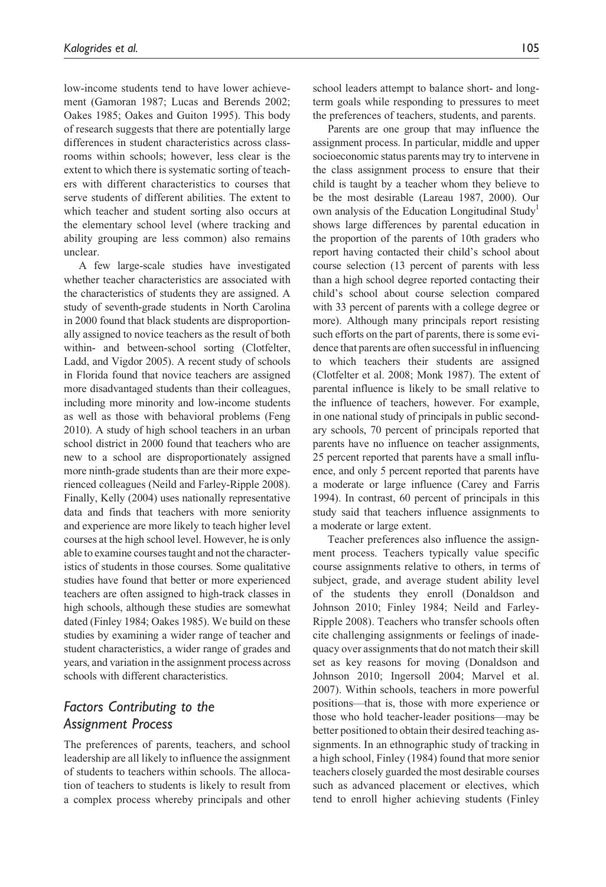low-income students tend to have lower achievement (Gamoran 1987; Lucas and Berends 2002; Oakes 1985; Oakes and Guiton 1995). This body of research suggests that there are potentially large differences in student characteristics across classrooms within schools; however, less clear is the extent to which there is systematic sorting of teachers with different characteristics to courses that serve students of different abilities. The extent to which teacher and student sorting also occurs at the elementary school level (where tracking and ability grouping are less common) also remains unclear.

A few large-scale studies have investigated whether teacher characteristics are associated with the characteristics of students they are assigned. A study of seventh-grade students in North Carolina in 2000 found that black students are disproportionally assigned to novice teachers as the result of both within- and between-school sorting (Clotfelter, Ladd, and Vigdor 2005). A recent study of schools in Florida found that novice teachers are assigned more disadvantaged students than their colleagues, including more minority and low-income students as well as those with behavioral problems (Feng 2010). A study of high school teachers in an urban school district in 2000 found that teachers who are new to a school are disproportionately assigned more ninth-grade students than are their more experienced colleagues (Neild and Farley-Ripple 2008). Finally, Kelly (2004) uses nationally representative data and finds that teachers with more seniority and experience are more likely to teach higher level courses at the high school level. However, he is only able to examine courses taught and not the characteristics of students in those courses. Some qualitative studies have found that better or more experienced teachers are often assigned to high-track classes in high schools, although these studies are somewhat dated (Finley 1984; Oakes 1985). We build on these studies by examining a wider range of teacher and student characteristics, a wider range of grades and years, and variation in the assignment process across schools with different characteristics.

# Factors Contributing to the Assignment Process

The preferences of parents, teachers, and school leadership are all likely to influence the assignment of students to teachers within schools. The allocation of teachers to students is likely to result from a complex process whereby principals and other school leaders attempt to balance short- and longterm goals while responding to pressures to meet the preferences of teachers, students, and parents.

Parents are one group that may influence the assignment process. In particular, middle and upper socioeconomic status parents may try to intervene in the class assignment process to ensure that their child is taught by a teacher whom they believe to be the most desirable (Lareau 1987, 2000). Our own analysis of the Education Longitudinal Study<sup>1</sup> shows large differences by parental education in the proportion of the parents of 10th graders who report having contacted their child's school about course selection (13 percent of parents with less than a high school degree reported contacting their child's school about course selection compared with 33 percent of parents with a college degree or more). Although many principals report resisting such efforts on the part of parents, there is some evidence that parents are often successful in influencing to which teachers their students are assigned (Clotfelter et al. 2008; Monk 1987). The extent of parental influence is likely to be small relative to the influence of teachers, however. For example, in one national study of principals in public secondary schools, 70 percent of principals reported that parents have no influence on teacher assignments, 25 percent reported that parents have a small influence, and only 5 percent reported that parents have a moderate or large influence (Carey and Farris 1994). In contrast, 60 percent of principals in this study said that teachers influence assignments to a moderate or large extent.

Teacher preferences also influence the assignment process. Teachers typically value specific course assignments relative to others, in terms of subject, grade, and average student ability level of the students they enroll (Donaldson and Johnson 2010; Finley 1984; Neild and Farley-Ripple 2008). Teachers who transfer schools often cite challenging assignments or feelings of inadequacy over assignments that do not match their skill set as key reasons for moving (Donaldson and Johnson 2010; Ingersoll 2004; Marvel et al. 2007). Within schools, teachers in more powerful positions—that is, those with more experience or those who hold teacher-leader positions—may be better positioned to obtain their desired teaching assignments. In an ethnographic study of tracking in a high school, Finley (1984) found that more senior teachers closely guarded the most desirable courses such as advanced placement or electives, which tend to enroll higher achieving students (Finley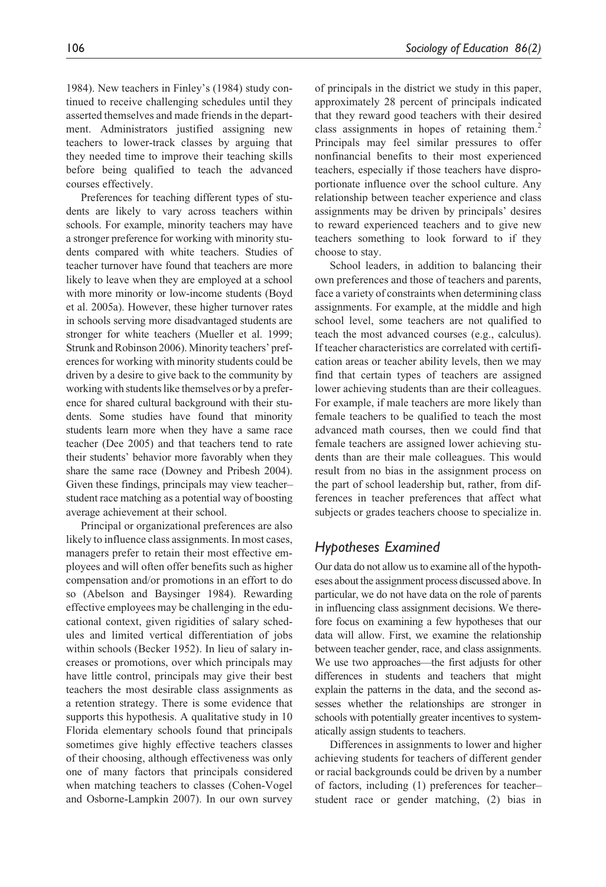1984). New teachers in Finley's (1984) study continued to receive challenging schedules until they asserted themselves and made friends in the department. Administrators justified assigning new teachers to lower-track classes by arguing that they needed time to improve their teaching skills before being qualified to teach the advanced courses effectively.

Preferences for teaching different types of students are likely to vary across teachers within schools. For example, minority teachers may have a stronger preference for working with minority students compared with white teachers. Studies of teacher turnover have found that teachers are more likely to leave when they are employed at a school with more minority or low-income students (Boyd et al. 2005a). However, these higher turnover rates in schools serving more disadvantaged students are stronger for white teachers (Mueller et al. 1999; Strunk and Robinson 2006). Minority teachers' preferences for working with minority students could be driven by a desire to give back to the community by working with students like themselves or by a preference for shared cultural background with their students. Some studies have found that minority students learn more when they have a same race teacher (Dee 2005) and that teachers tend to rate their students' behavior more favorably when they share the same race (Downey and Pribesh 2004). Given these findings, principals may view teacher– student race matching as a potential way of boosting average achievement at their school.

Principal or organizational preferences are also likely to influence class assignments. In most cases, managers prefer to retain their most effective employees and will often offer benefits such as higher compensation and/or promotions in an effort to do so (Abelson and Baysinger 1984). Rewarding effective employees may be challenging in the educational context, given rigidities of salary schedules and limited vertical differentiation of jobs within schools (Becker 1952). In lieu of salary increases or promotions, over which principals may have little control, principals may give their best teachers the most desirable class assignments as a retention strategy. There is some evidence that supports this hypothesis. A qualitative study in 10 Florida elementary schools found that principals sometimes give highly effective teachers classes of their choosing, although effectiveness was only one of many factors that principals considered when matching teachers to classes (Cohen-Vogel and Osborne-Lampkin 2007). In our own survey of principals in the district we study in this paper, approximately 28 percent of principals indicated that they reward good teachers with their desired class assignments in hopes of retaining them.<sup>2</sup> Principals may feel similar pressures to offer nonfinancial benefits to their most experienced teachers, especially if those teachers have disproportionate influence over the school culture. Any relationship between teacher experience and class assignments may be driven by principals' desires to reward experienced teachers and to give new teachers something to look forward to if they choose to stay.

School leaders, in addition to balancing their own preferences and those of teachers and parents, face a variety of constraints when determining class assignments. For example, at the middle and high school level, some teachers are not qualified to teach the most advanced courses (e.g., calculus). If teacher characteristics are correlated with certification areas or teacher ability levels, then we may find that certain types of teachers are assigned lower achieving students than are their colleagues. For example, if male teachers are more likely than female teachers to be qualified to teach the most advanced math courses, then we could find that female teachers are assigned lower achieving students than are their male colleagues. This would result from no bias in the assignment process on the part of school leadership but, rather, from differences in teacher preferences that affect what subjects or grades teachers choose to specialize in.

### Hypotheses Examined

Our data do not allow us to examine all of the hypotheses about the assignment process discussed above. In particular, we do not have data on the role of parents in influencing class assignment decisions. We therefore focus on examining a few hypotheses that our data will allow. First, we examine the relationship between teacher gender, race, and class assignments. We use two approaches—the first adjusts for other differences in students and teachers that might explain the patterns in the data, and the second assesses whether the relationships are stronger in schools with potentially greater incentives to systematically assign students to teachers.

Differences in assignments to lower and higher achieving students for teachers of different gender or racial backgrounds could be driven by a number of factors, including (1) preferences for teacher– student race or gender matching, (2) bias in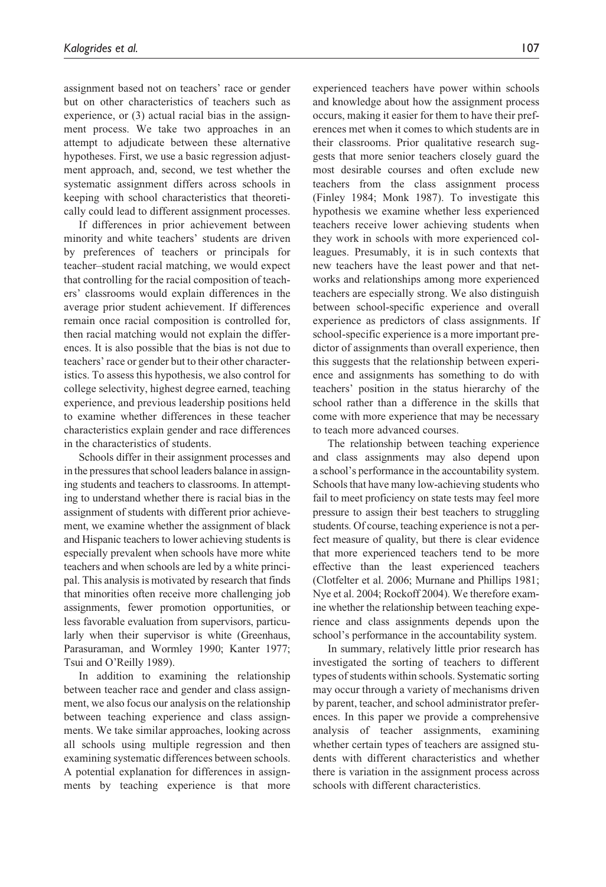assignment based not on teachers' race or gender but on other characteristics of teachers such as experience, or (3) actual racial bias in the assignment process. We take two approaches in an attempt to adjudicate between these alternative hypotheses. First, we use a basic regression adjustment approach, and, second, we test whether the systematic assignment differs across schools in keeping with school characteristics that theoretically could lead to different assignment processes.

If differences in prior achievement between minority and white teachers' students are driven by preferences of teachers or principals for teacher–student racial matching, we would expect that controlling for the racial composition of teachers' classrooms would explain differences in the average prior student achievement. If differences remain once racial composition is controlled for, then racial matching would not explain the differences. It is also possible that the bias is not due to teachers' race or gender but to their other characteristics. To assess this hypothesis, we also control for college selectivity, highest degree earned, teaching experience, and previous leadership positions held to examine whether differences in these teacher characteristics explain gender and race differences in the characteristics of students.

Schools differ in their assignment processes and in the pressures that school leaders balance in assigning students and teachers to classrooms. In attempting to understand whether there is racial bias in the assignment of students with different prior achievement, we examine whether the assignment of black and Hispanic teachers to lower achieving students is especially prevalent when schools have more white teachers and when schools are led by a white principal. This analysis is motivated by research that finds that minorities often receive more challenging job assignments, fewer promotion opportunities, or less favorable evaluation from supervisors, particularly when their supervisor is white (Greenhaus, Parasuraman, and Wormley 1990; Kanter 1977; Tsui and O'Reilly 1989).

In addition to examining the relationship between teacher race and gender and class assignment, we also focus our analysis on the relationship between teaching experience and class assignments. We take similar approaches, looking across all schools using multiple regression and then examining systematic differences between schools. A potential explanation for differences in assignments by teaching experience is that more

experienced teachers have power within schools and knowledge about how the assignment process occurs, making it easier for them to have their preferences met when it comes to which students are in their classrooms. Prior qualitative research suggests that more senior teachers closely guard the most desirable courses and often exclude new teachers from the class assignment process (Finley 1984; Monk 1987). To investigate this hypothesis we examine whether less experienced teachers receive lower achieving students when they work in schools with more experienced colleagues. Presumably, it is in such contexts that new teachers have the least power and that networks and relationships among more experienced teachers are especially strong. We also distinguish between school-specific experience and overall experience as predictors of class assignments. If school-specific experience is a more important predictor of assignments than overall experience, then this suggests that the relationship between experience and assignments has something to do with teachers' position in the status hierarchy of the school rather than a difference in the skills that come with more experience that may be necessary to teach more advanced courses.

The relationship between teaching experience and class assignments may also depend upon a school's performance in the accountability system. Schools that have many low-achieving students who fail to meet proficiency on state tests may feel more pressure to assign their best teachers to struggling students. Of course, teaching experience is not a perfect measure of quality, but there is clear evidence that more experienced teachers tend to be more effective than the least experienced teachers (Clotfelter et al. 2006; Murnane and Phillips 1981; Nye et al. 2004; Rockoff 2004). We therefore examine whether the relationship between teaching experience and class assignments depends upon the school's performance in the accountability system.

In summary, relatively little prior research has investigated the sorting of teachers to different types of students within schools. Systematic sorting may occur through a variety of mechanisms driven by parent, teacher, and school administrator preferences. In this paper we provide a comprehensive analysis of teacher assignments, examining whether certain types of teachers are assigned students with different characteristics and whether there is variation in the assignment process across schools with different characteristics.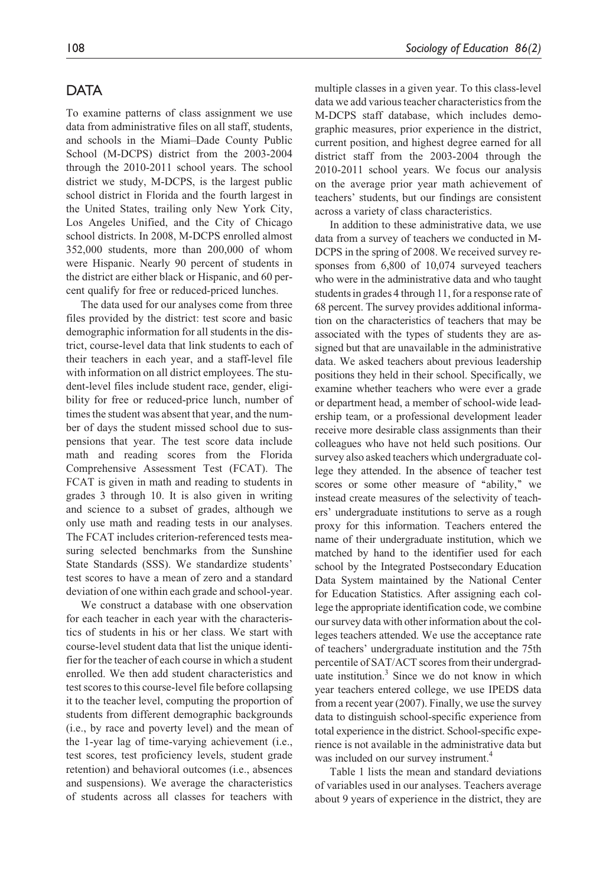# **DATA**

To examine patterns of class assignment we use data from administrative files on all staff, students, and schools in the Miami–Dade County Public School (M-DCPS) district from the 2003-2004 through the 2010-2011 school years. The school district we study, M-DCPS, is the largest public school district in Florida and the fourth largest in the United States, trailing only New York City, Los Angeles Unified, and the City of Chicago school districts. In 2008, M-DCPS enrolled almost 352,000 students, more than 200,000 of whom were Hispanic. Nearly 90 percent of students in the district are either black or Hispanic, and 60 percent qualify for free or reduced-priced lunches.

The data used for our analyses come from three files provided by the district: test score and basic demographic information for all students in the district, course-level data that link students to each of their teachers in each year, and a staff-level file with information on all district employees. The student-level files include student race, gender, eligibility for free or reduced-price lunch, number of times the student was absent that year, and the number of days the student missed school due to suspensions that year. The test score data include math and reading scores from the Florida Comprehensive Assessment Test (FCAT). The FCAT is given in math and reading to students in grades 3 through 10. It is also given in writing and science to a subset of grades, although we only use math and reading tests in our analyses. The FCAT includes criterion-referenced tests measuring selected benchmarks from the Sunshine State Standards (SSS). We standardize students' test scores to have a mean of zero and a standard deviation of one within each grade and school-year.

We construct a database with one observation for each teacher in each year with the characteristics of students in his or her class. We start with course-level student data that list the unique identifier for the teacher of each course in which a student enrolled. We then add student characteristics and test scores to this course-level file before collapsing it to the teacher level, computing the proportion of students from different demographic backgrounds (i.e., by race and poverty level) and the mean of the 1-year lag of time-varying achievement (i.e., test scores, test proficiency levels, student grade retention) and behavioral outcomes (i.e., absences and suspensions). We average the characteristics of students across all classes for teachers with

multiple classes in a given year. To this class-level data we add various teacher characteristics from the M-DCPS staff database, which includes demographic measures, prior experience in the district, current position, and highest degree earned for all district staff from the 2003-2004 through the 2010-2011 school years. We focus our analysis on the average prior year math achievement of teachers' students, but our findings are consistent across a variety of class characteristics.

In addition to these administrative data, we use data from a survey of teachers we conducted in M-DCPS in the spring of 2008. We received survey responses from 6,800 of 10,074 surveyed teachers who were in the administrative data and who taught students in grades 4 through 11, for a response rate of 68 percent. The survey provides additional information on the characteristics of teachers that may be associated with the types of students they are assigned but that are unavailable in the administrative data. We asked teachers about previous leadership positions they held in their school. Specifically, we examine whether teachers who were ever a grade or department head, a member of school-wide leadership team, or a professional development leader receive more desirable class assignments than their colleagues who have not held such positions. Our survey also asked teachers which undergraduate college they attended. In the absence of teacher test scores or some other measure of "ability," we instead create measures of the selectivity of teachers' undergraduate institutions to serve as a rough proxy for this information. Teachers entered the name of their undergraduate institution, which we matched by hand to the identifier used for each school by the Integrated Postsecondary Education Data System maintained by the National Center for Education Statistics. After assigning each college the appropriate identification code, we combine our survey data with other information about the colleges teachers attended. We use the acceptance rate of teachers' undergraduate institution and the 75th percentile of SAT/ACT scores from their undergraduate institution.<sup>3</sup> Since we do not know in which year teachers entered college, we use IPEDS data from a recent year (2007). Finally, we use the survey data to distinguish school-specific experience from total experience in the district. School-specific experience is not available in the administrative data but was included on our survey instrument.<sup>4</sup>

Table 1 lists the mean and standard deviations of variables used in our analyses. Teachers average about 9 years of experience in the district, they are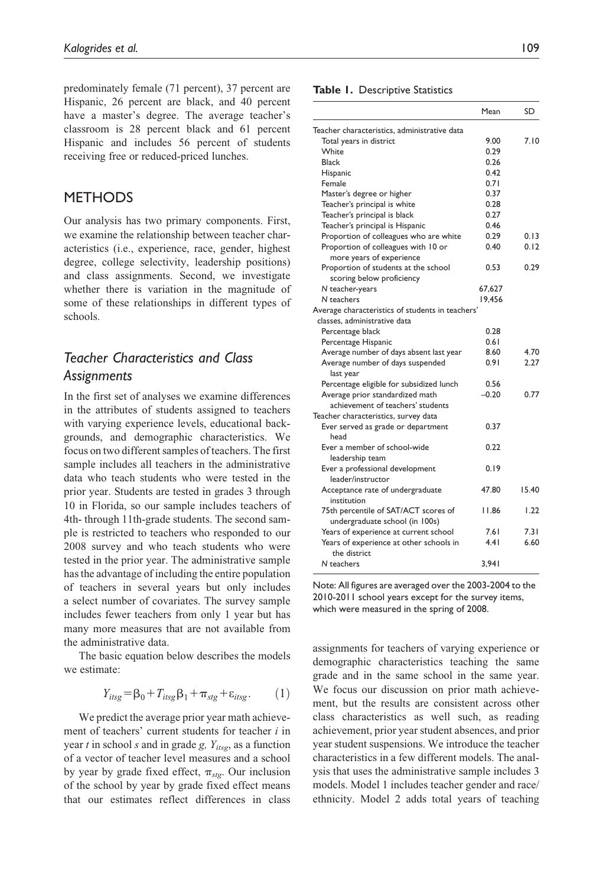predominately female (71 percent), 37 percent are Hispanic, 26 percent are black, and 40 percent have a master's degree. The average teacher's classroom is 28 percent black and 61 percent Hispanic and includes 56 percent of students receiving free or reduced-priced lunches.

### METHODS

Our analysis has two primary components. First, we examine the relationship between teacher characteristics (i.e., experience, race, gender, highest degree, college selectivity, leadership positions) and class assignments. Second, we investigate whether there is variation in the magnitude of some of these relationships in different types of schools.

# Teacher Characteristics and Class **Assignments**

In the first set of analyses we examine differences in the attributes of students assigned to teachers with varying experience levels, educational backgrounds, and demographic characteristics. We focus on two different samples of teachers. The first sample includes all teachers in the administrative data who teach students who were tested in the prior year. Students are tested in grades 3 through 10 in Florida, so our sample includes teachers of 4th- through 11th-grade students. The second sample is restricted to teachers who responded to our 2008 survey and who teach students who were tested in the prior year. The administrative sample has the advantage of including the entire population of teachers in several years but only includes a select number of covariates. The survey sample includes fewer teachers from only 1 year but has many more measures that are not available from the administrative data.

The basic equation below describes the models we estimate:

$$
Y_{itsg} = \beta_0 + T_{itsg} \beta_1 + \pi_{stg} + \varepsilon_{itsg}.
$$
 (1)

We predict the average prior year math achievement of teachers' current students for teacher i in year t in school s and in grade g,  $Y_{itsg}$ , as a function of a vector of teacher level measures and a school by year by grade fixed effect,  $\pi_{step}$ . Our inclusion of the school by year by grade fixed effect means that our estimates reflect differences in class

#### Table 1. Descriptive Statistics

|                                                                        | Mean    | SD    |
|------------------------------------------------------------------------|---------|-------|
| Teacher characteristics, administrative data                           |         |       |
| Total years in district                                                | 9.00    | 7.10  |
| White                                                                  | 0.29    |       |
| <b>Black</b>                                                           | 0.26    |       |
| Hispanic                                                               | 0.42    |       |
| Female                                                                 | 0.71    |       |
| Master's degree or higher                                              | 0.37    |       |
| Teacher's principal is white                                           | 0.28    |       |
| Teacher's principal is black                                           | 0.27    |       |
| Teacher's principal is Hispanic                                        | 0.46    |       |
| Proportion of colleagues who are white                                 | 0.29    | 0.13  |
| Proportion of colleagues with 10 or                                    | 0.40    | 0.12  |
| more years of experience                                               |         |       |
| Proportion of students at the school                                   | 0.53    | 0.29  |
| scoring below proficiency                                              |         |       |
| N teacher-years                                                        | 67,627  |       |
| N teachers                                                             | 19,456  |       |
| Average characteristics of students in teachers'                       |         |       |
| classes, administrative data                                           |         |       |
| Percentage black                                                       | 0.28    |       |
| Percentage Hispanic                                                    | 0.61    |       |
| Average number of days absent last year                                | 8.60    | 4.70  |
| Average number of days suspended                                       | 0.91    | 2.27  |
| last year                                                              |         |       |
| Percentage eligible for subsidized lunch                               | 0.56    |       |
| Average prior standardized math                                        | $-0.20$ | 0.77  |
| achievement of teachers' students                                      |         |       |
| Teacher characteristics, survey data                                   |         |       |
| Ever served as grade or department<br>head                             | 0.37    |       |
| Ever a member of school-wide                                           | 0.22    |       |
| leadership team                                                        |         |       |
| Ever a professional development                                        | 0.19    |       |
| leader/instructor                                                      |         |       |
| Acceptance rate of undergraduate<br>institution                        | 47.80   | 15.40 |
| 75th percentile of SAT/ACT scores of<br>undergraduate school (in 100s) | 11.86   | 1.22  |
| Years of experience at current school                                  | 7.61    | 7.31  |
| Years of experience at other schools in                                | 4.41    | 6.60  |
| the district                                                           |         |       |
| N teachers                                                             | 3,941   |       |

Note: All figures are averaged over the 2003-2004 to the 2010-2011 school years except for the survey items, which were measured in the spring of 2008.

assignments for teachers of varying experience or demographic characteristics teaching the same grade and in the same school in the same year. We focus our discussion on prior math achievement, but the results are consistent across other class characteristics as well such, as reading achievement, prior year student absences, and prior year student suspensions. We introduce the teacher characteristics in a few different models. The analysis that uses the administrative sample includes 3 models. Model 1 includes teacher gender and race/ ethnicity. Model 2 adds total years of teaching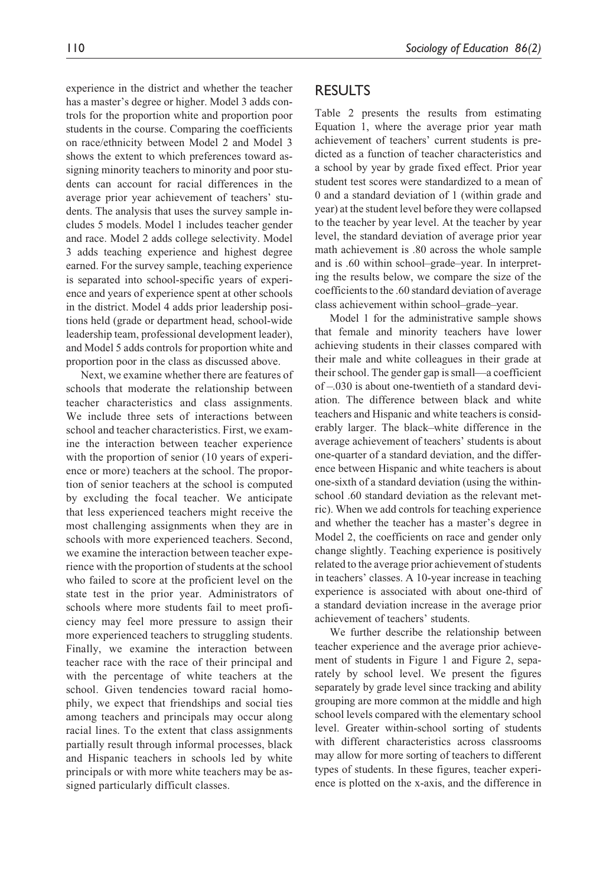experience in the district and whether the teacher has a master's degree or higher. Model 3 adds controls for the proportion white and proportion poor students in the course. Comparing the coefficients on race/ethnicity between Model 2 and Model 3 shows the extent to which preferences toward assigning minority teachers to minority and poor students can account for racial differences in the average prior year achievement of teachers' students. The analysis that uses the survey sample includes 5 models. Model 1 includes teacher gender and race. Model 2 adds college selectivity. Model 3 adds teaching experience and highest degree earned. For the survey sample, teaching experience is separated into school-specific years of experience and years of experience spent at other schools in the district. Model 4 adds prior leadership positions held (grade or department head, school-wide leadership team, professional development leader), and Model 5 adds controls for proportion white and proportion poor in the class as discussed above.

Next, we examine whether there are features of schools that moderate the relationship between teacher characteristics and class assignments. We include three sets of interactions between school and teacher characteristics. First, we examine the interaction between teacher experience with the proportion of senior (10 years of experience or more) teachers at the school. The proportion of senior teachers at the school is computed by excluding the focal teacher. We anticipate that less experienced teachers might receive the most challenging assignments when they are in schools with more experienced teachers. Second, we examine the interaction between teacher experience with the proportion of students at the school who failed to score at the proficient level on the state test in the prior year. Administrators of schools where more students fail to meet proficiency may feel more pressure to assign their more experienced teachers to struggling students. Finally, we examine the interaction between teacher race with the race of their principal and with the percentage of white teachers at the school. Given tendencies toward racial homophily, we expect that friendships and social ties among teachers and principals may occur along racial lines. To the extent that class assignments partially result through informal processes, black and Hispanic teachers in schools led by white principals or with more white teachers may be assigned particularly difficult classes.

## RESULTS

Table 2 presents the results from estimating Equation 1, where the average prior year math achievement of teachers' current students is predicted as a function of teacher characteristics and a school by year by grade fixed effect. Prior year student test scores were standardized to a mean of 0 and a standard deviation of 1 (within grade and year) at the student level before they were collapsed to the teacher by year level. At the teacher by year level, the standard deviation of average prior year math achievement is .80 across the whole sample and is .60 within school–grade–year. In interpreting the results below, we compare the size of the coefficients to the .60 standard deviation of average class achievement within school–grade–year.

Model 1 for the administrative sample shows that female and minority teachers have lower achieving students in their classes compared with their male and white colleagues in their grade at their school. The gender gap is small—a coefficient of –.030 is about one-twentieth of a standard deviation. The difference between black and white teachers and Hispanic and white teachers is considerably larger. The black–white difference in the average achievement of teachers' students is about one-quarter of a standard deviation, and the difference between Hispanic and white teachers is about one-sixth of a standard deviation (using the withinschool .60 standard deviation as the relevant metric). When we add controls for teaching experience and whether the teacher has a master's degree in Model 2, the coefficients on race and gender only change slightly. Teaching experience is positively related to the average prior achievement of students in teachers' classes. A 10-year increase in teaching experience is associated with about one-third of a standard deviation increase in the average prior achievement of teachers' students.

We further describe the relationship between teacher experience and the average prior achievement of students in Figure 1 and Figure 2, separately by school level. We present the figures separately by grade level since tracking and ability grouping are more common at the middle and high school levels compared with the elementary school level. Greater within-school sorting of students with different characteristics across classrooms may allow for more sorting of teachers to different types of students. In these figures, teacher experience is plotted on the x-axis, and the difference in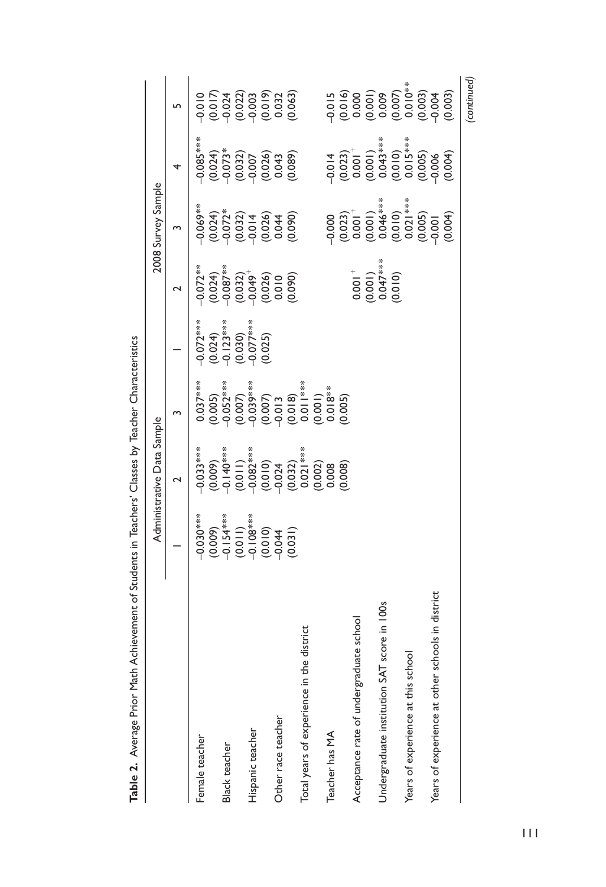|                                                  |                                                                              | Administrative Data Sample                                                                                               |                                                                                                                                             |                                                                   |                                                                            | 2008 Survey Sample                                                                             |                                                                                                   |                                                                            |
|--------------------------------------------------|------------------------------------------------------------------------------|--------------------------------------------------------------------------------------------------------------------------|---------------------------------------------------------------------------------------------------------------------------------------------|-------------------------------------------------------------------|----------------------------------------------------------------------------|------------------------------------------------------------------------------------------------|---------------------------------------------------------------------------------------------------|----------------------------------------------------------------------------|
|                                                  |                                                                              | 2                                                                                                                        |                                                                                                                                             |                                                                   | 2                                                                          |                                                                                                | 4                                                                                                 | Lŋ                                                                         |
| Female teacher                                   | $-0.030**$                                                                   | $-0.033**$                                                                                                               | $0.037***$                                                                                                                                  | $-0.072***$                                                       | $-0.072**$                                                                 |                                                                                                | $0.085***$                                                                                        | $-0.010$                                                                   |
|                                                  |                                                                              |                                                                                                                          |                                                                                                                                             |                                                                   |                                                                            | **<br>\$\$\$\$\$\$\$\$\$<br>\$\$\$\$\$\$\$\$\$\$<br>\$\$\$\$\$\$\$\$\$\$\$\$                   |                                                                                                   |                                                                            |
| Black teacher                                    |                                                                              |                                                                                                                          |                                                                                                                                             |                                                                   |                                                                            |                                                                                                |                                                                                                   |                                                                            |
|                                                  | $(0.009)$<br>$-0.154***$<br>$(0.011)$<br>$(0.011)$<br>$-0.108***$<br>$-0.04$ | $(0.009)$<br>-0.140***<br>(0.011)<br>-0.082***                                                                           | $(0.005)$<br>$-0.052***$<br>$-0.030***$<br>$(0.007)$<br>$-0.030***$<br>$-0.011$<br>$-0.018$<br>$-0.011$<br>$-0.001$<br>$-0.001$<br>$-0.001$ | $(0.024)$<br>$-0.123***$<br>$(0.030)$<br>$-0.077***$<br>$(0.025)$ | $(0.024)$<br>$(0.032)$<br>$(0.032)$<br>$(0.032)$<br>$(0.032)$<br>$(0.010)$ |                                                                                                | $(0.024)$<br>$-0.073$<br>$-0.032)$<br>$-0.005$<br>$-0.026$<br>$-0.043$                            | $(0.017)$<br>$(0.024)$<br>$(0.020)$<br>$(0.019)$<br>$(0.019)$<br>$(0.032)$ |
| Hispanic teacher                                 |                                                                              |                                                                                                                          |                                                                                                                                             |                                                                   |                                                                            |                                                                                                |                                                                                                   |                                                                            |
|                                                  |                                                                              | $\begin{array}{l} (0.010)\\ (0.012)\\ (0.032)\\ (0.002)\\ (0.000)\\ (0.000)\\ (0.008)\\ (0.008)\\ (0.008)\\ \end{array}$ |                                                                                                                                             |                                                                   |                                                                            |                                                                                                |                                                                                                   |                                                                            |
| Other race teacher                               |                                                                              |                                                                                                                          |                                                                                                                                             |                                                                   |                                                                            |                                                                                                |                                                                                                   |                                                                            |
|                                                  | (0.031)                                                                      |                                                                                                                          |                                                                                                                                             |                                                                   | (0.090)                                                                    | (0.090)                                                                                        | (0.089)                                                                                           | (0.063)                                                                    |
| Total years of experience in the district        |                                                                              |                                                                                                                          |                                                                                                                                             |                                                                   |                                                                            |                                                                                                |                                                                                                   |                                                                            |
|                                                  |                                                                              |                                                                                                                          |                                                                                                                                             |                                                                   |                                                                            |                                                                                                |                                                                                                   |                                                                            |
| Teacher has MA                                   |                                                                              |                                                                                                                          |                                                                                                                                             |                                                                   |                                                                            |                                                                                                |                                                                                                   |                                                                            |
|                                                  |                                                                              | 0.008                                                                                                                    | 0.005                                                                                                                                       |                                                                   |                                                                            |                                                                                                |                                                                                                   |                                                                            |
| Acceptance rate of undergraduate school          |                                                                              |                                                                                                                          |                                                                                                                                             |                                                                   |                                                                            |                                                                                                |                                                                                                   |                                                                            |
|                                                  |                                                                              |                                                                                                                          |                                                                                                                                             |                                                                   |                                                                            |                                                                                                |                                                                                                   |                                                                            |
| Undergraduate institution SAT score in 100s      |                                                                              |                                                                                                                          |                                                                                                                                             |                                                                   |                                                                            |                                                                                                |                                                                                                   |                                                                            |
|                                                  |                                                                              |                                                                                                                          |                                                                                                                                             |                                                                   | $0.001^{+}$<br>$(0.001)$<br>$0.047***$                                     | $9000$<br>$(0.023)$<br>$(0.001)$<br>$(0.001)$<br>$(0.001)$<br>$(0.01)$<br>$(0.01)$<br>$(0.01)$ | $-9.014$<br>$-9.023$<br>$-0.001$<br>$-0.0001$<br>$-0.0000$<br>$-0.0000$<br>$-0.0000$<br>$-0.0000$ |                                                                            |
| Years of experience at this school               |                                                                              |                                                                                                                          |                                                                                                                                             |                                                                   |                                                                            |                                                                                                |                                                                                                   |                                                                            |
|                                                  |                                                                              |                                                                                                                          |                                                                                                                                             |                                                                   |                                                                            | (0.005)                                                                                        |                                                                                                   |                                                                            |
| Years of experience at other schools in district |                                                                              |                                                                                                                          |                                                                                                                                             |                                                                   |                                                                            |                                                                                                |                                                                                                   |                                                                            |
|                                                  |                                                                              |                                                                                                                          |                                                                                                                                             |                                                                   |                                                                            | 0.004                                                                                          | (0.004)                                                                                           | (0.003)                                                                    |
|                                                  |                                                                              |                                                                                                                          |                                                                                                                                             |                                                                   |                                                                            |                                                                                                |                                                                                                   | (continued)                                                                |

Table 2. Average Prior Math Achievement of Students in Teachers' Classes by Teacher Characteristics Table 2. Average Prior Math Achievement of Students in Teachers' Classes by Teacher Characteristics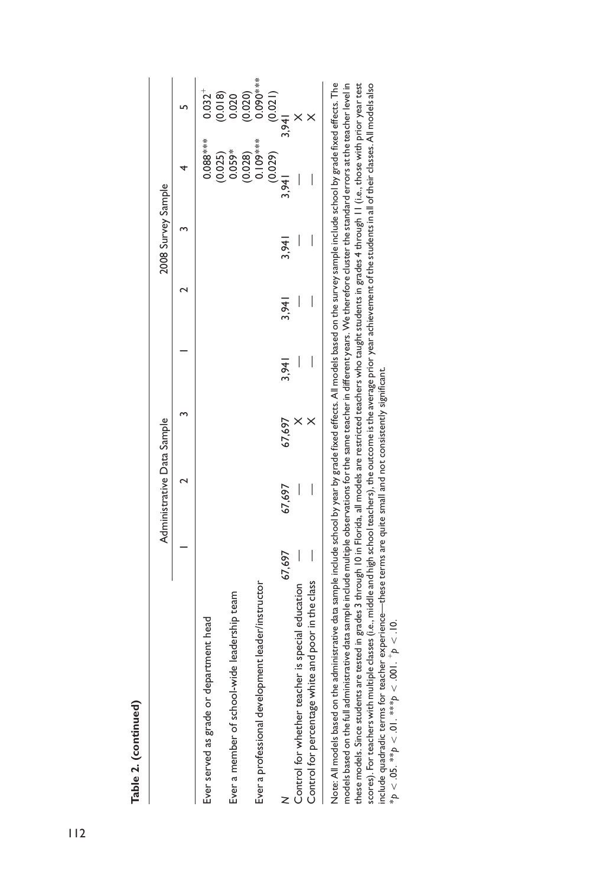|                                                    |        | Administrative Data Sample |        |       |       | 2008 Survey Sample |                                     |                         |
|----------------------------------------------------|--------|----------------------------|--------|-------|-------|--------------------|-------------------------------------|-------------------------|
|                                                    |        |                            |        |       |       |                    |                                     |                         |
| head<br>Ever served as grade or department I       |        |                            |        |       |       |                    | 0.088***                            | $0.032^{+}$             |
| Ever a member of school-wide leadership team       |        |                            |        |       |       |                    | $(0.025)$<br>$0.059*$               | $(0.018)$<br>$0.020$    |
|                                                    |        |                            |        |       |       |                    |                                     |                         |
| Ever a professional development leader/instructor  |        |                            |        |       |       |                    | $(0.028)$<br>0.109***               | $(0.020)$<br>$0.090***$ |
|                                                    |        |                            |        |       |       |                    | (0.029)                             | (0.021)                 |
|                                                    | 67,697 | 67,697                     | 67,697 | 3,941 | 3,941 | 3,941              | 3.941                               | 3.941                   |
| Control for whether teacher is special education   |        |                            |        | I     |       |                    |                                     |                         |
| Control for percentage white and poor in the class |        |                            |        |       |       |                    |                                     |                         |
|                                                    |        |                            |        |       |       |                    | 日 - 2011 - 2011 - 11 - 11 - 11 - 11 |                         |

Note: All models based on the administrative data sample include school by year by grade fixed effects. All models based on the survey sample include school by grade fixed effects. The models based on the full administrative data sample include multiple observations for the same teacher in different years. We therefore cluster the standard errors at the teacher level in these models. Since students are tested in grades 3 through 10 in Florida, all models are restricted teachers who taught students in grades 4 through 11 (i.e., those with prior year test scores). For teachers with multiple classes (i.e., middle and high school teachers), the outcome is the average prior year achievement of the students in all of their classes. All models also these models. Since students are tested in grades 3 through 10 in Florida, all models are restricted teachers who taught students in grades 4 through 11 (i.e., those with prior year test Note: All models based on the administrative data sample include school by year by grade fixed effects. All models based on the survey sample include school by grade fixed effects. The models based on the full administrative data sample include multiple observations for the same teacher in different years. We therefore cluster the standard errors at the teacher level in scores). For teachers with multiple classes (i.e., middle and high school teachers), the outcome is the average prior year achievement of the students in all of their classes. All models also include quadradic terms for teacher experience—these terms are quite small and not consistently significant. include quadradic terms for teacher experience—these terms are quite small and not consistently significant. \* $p < 0.05$ . \*\* $p < 0.1$ . \*\*\* $p < 0.01$ .  $^{+}p < 10$ .  $*$ p  $\lt$  .05.  $*$  $*$ p  $\lt$  .01.  $*$  $*$ p  $\lt$  .001.  $^+$ p  $\lt$  .10.

Table 2. (continued)

Table 2. (continued)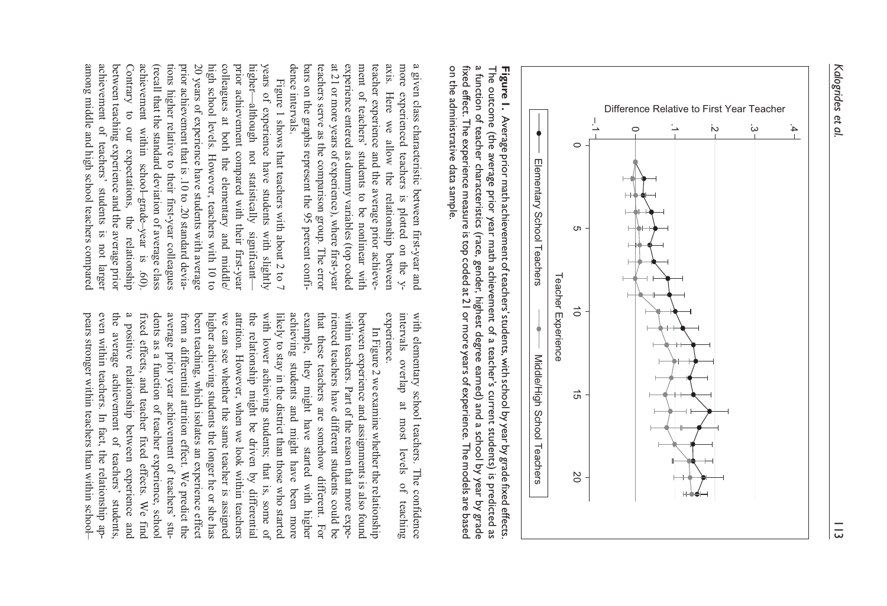

a function of teacher characteristics (race, gender, highest degree earned) and a school by year by grade on the administrative data sample. on the administrative data sample. fixed effect. The experience measure is top coded at 21 or more years of experience. The models are based fixed effect. The experience measure is top coded at 21 or more years of experience. The models are based a function of teacher characteristics (race, gender, highest degree earned) and a school by year by grade The outcome (the average prior year math achievement of a teacher's current students) is predicted as The outcome (the average prior year math achievement of a teacher's current students) is predicted as **Figure 1.** Average prior math achievement of teachers' students, with school by year by grade fixed effects. Average prior math achievement of teachers' students, with school by year by grade fixed effects.

axis. at 21 or more years of experience), where first-year experience entered as dummy variables (top coded ment of teachers' a given class characteristic between first-year and dence intervals. dence intervals. bars on the graphs represent the 95 percent confibars on the graphs represent the 95 percent confiteachers serve as the comparison group. The error teachers serve as the comparison group. The error at 21 or more years of experience), where first-year experience entered as dummy variables (top coded ment of teachers' students to be nonlinear with teacher experience and the average prior achieveteacher experience and the average prior achieveaxis. Here we allow the relationship between more experienced teachers is plotted on the ymore a given class characteristic between first-year and Here we allow the relationship between experienced teachers is plotted on the ystudents to be nonlinear with

among middle and high school teachers compared achievement of teachers' students is not larger among middle and high school teachers compared achievement of teachers' students is not larger between teaching experience and the average prior between teaching experience and the average prior Contrary Contrary to our expectations, the relationship achievement within school-grade-year is achievement within school–grade–year is .60). (recall that the standard deviation of average class (recall that the standard deviation of average class tions higher relative to their first-year colleagues tions higher relative to their first-year colleagues prior achievement that is .10 to .20 standard deviaprior achievement that is .10 to .20 standard devia-20 years of experience have students with average 20 years of experience have students with average high school levels. However, teachers with 10 to high school levels. However, teachers with 10 to colleagues at both the elementary and middle/ colleagues at both the elementary and middle/ prior achievement compared with their first-year prior achievement compared with their first-year higherhigher—although not statistically significant years of experience have students with slightly years of experience have students with slightly Figure 1 shows that teachers with about 2 to 7 Figure 1 shows that teachers with about 2 to 7 -although not statistically to our expectations, the significantrelationship  $.60.$ 

> experience. intervals overlap with elementary school teachers. The confidence intervals overlap at most levels of teaching with elementary school teachers. The confidence at most levels  $\mathfrak{g}$ teaching

pears stronger within teachers than within schooleven within teachers. In fact, the relationship apthe average achievement of teachers' students, a positive relationship between experience and dents as a function of teacher experience, school average prior year achievement of teachers' stufrom a differential attrition effect. We predict the been teaching, which isolates an experience effect we can see whether the same teacher is assigned attrition. However, when we look within teachers the relationship might be driven by differential with lower achieving students; that is, some of likely to stay in the district than those who started achieving students and might have been more example, that these teachers are somehow different. For rienced teachers have different students could be within teachers. Part of the reason that more expebetween experience and assignments is also found pears stronger within teachers than within school– even within teachers. In fact, the relationship apthe average achievement of teachers' students, a positive relationship between experience and fixed effects, and teacher fixed effects. We find fixed effects, and teacher fixed effects. We find dents as a function of teacher experience, school average prior year achievement of teachers' stufrom a differential attrition effect. We predict the been teaching, which isolates an experience effect higher achieving students the longer he or she has higher achieving students the longer he or she has we can see whether the same teacher is assigned attrition. However, when we look within teachers the relationship might be driven by differential with lower achieving students; that is, some of likely to stay in the district than those who started achieving students and might have been more example, they might have started with higher that these teachers are somehow different. For rienced teachers have different students could be within teachers. Part of the reason that more expebetween experience and assignments is also found In Figure 2 we examine whether the relationship In Figure 2 we examine whether the relationship they might have started with higher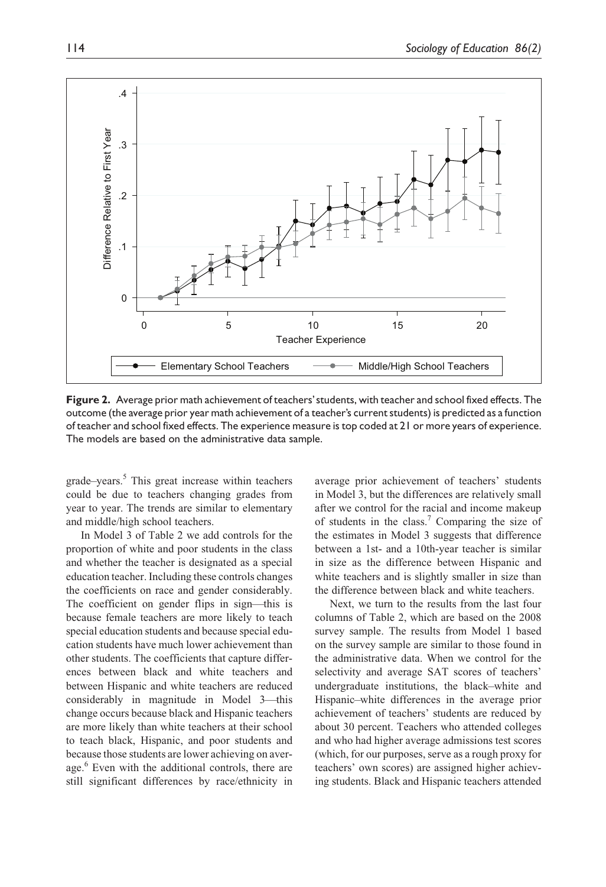

Figure 2. Average prior math achievement of teachers' students, with teacher and school fixed effects. The outcome (the average prior year math achievement of a teacher's current students) is predicted as a function of teacher and school fixed effects. The experience measure is top coded at 21 or more years of experience. The models are based on the administrative data sample.

grade–years.<sup>5</sup> This great increase within teachers could be due to teachers changing grades from year to year. The trends are similar to elementary and middle/high school teachers.

In Model 3 of Table 2 we add controls for the proportion of white and poor students in the class and whether the teacher is designated as a special education teacher. Including these controls changes the coefficients on race and gender considerably. The coefficient on gender flips in sign—this is because female teachers are more likely to teach special education students and because special education students have much lower achievement than other students. The coefficients that capture differences between black and white teachers and between Hispanic and white teachers are reduced considerably in magnitude in Model 3—this change occurs because black and Hispanic teachers are more likely than white teachers at their school to teach black, Hispanic, and poor students and because those students are lower achieving on average.<sup>6</sup> Even with the additional controls, there are still significant differences by race/ethnicity in average prior achievement of teachers' students in Model 3, but the differences are relatively small after we control for the racial and income makeup of students in the class.7 Comparing the size of the estimates in Model 3 suggests that difference between a 1st- and a 10th-year teacher is similar in size as the difference between Hispanic and white teachers and is slightly smaller in size than the difference between black and white teachers.

Next, we turn to the results from the last four columns of Table 2, which are based on the 2008 survey sample. The results from Model 1 based on the survey sample are similar to those found in the administrative data. When we control for the selectivity and average SAT scores of teachers' undergraduate institutions, the black–white and Hispanic–white differences in the average prior achievement of teachers' students are reduced by about 30 percent. Teachers who attended colleges and who had higher average admissions test scores (which, for our purposes, serve as a rough proxy for teachers' own scores) are assigned higher achieving students. Black and Hispanic teachers attended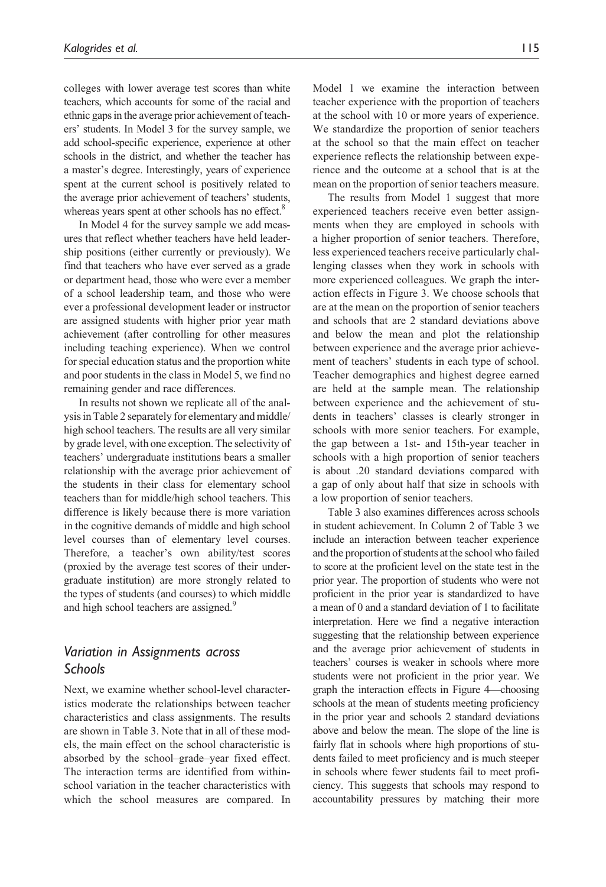colleges with lower average test scores than white teachers, which accounts for some of the racial and ethnic gaps in the average prior achievement of teachers' students. In Model 3 for the survey sample, we add school-specific experience, experience at other schools in the district, and whether the teacher has a master's degree. Interestingly, years of experience spent at the current school is positively related to the average prior achievement of teachers' students, whereas years spent at other schools has no effect.<sup>8</sup>

In Model 4 for the survey sample we add measures that reflect whether teachers have held leadership positions (either currently or previously). We find that teachers who have ever served as a grade or department head, those who were ever a member of a school leadership team, and those who were ever a professional development leader or instructor are assigned students with higher prior year math achievement (after controlling for other measures including teaching experience). When we control for special education status and the proportion white and poor students in the class in Model 5, we find no remaining gender and race differences.

In results not shown we replicate all of the analysis in Table 2 separately for elementary and middle/ high school teachers. The results are all very similar by grade level, with one exception. The selectivity of teachers' undergraduate institutions bears a smaller relationship with the average prior achievement of the students in their class for elementary school teachers than for middle/high school teachers. This difference is likely because there is more variation in the cognitive demands of middle and high school level courses than of elementary level courses. Therefore, a teacher's own ability/test scores (proxied by the average test scores of their undergraduate institution) are more strongly related to the types of students (and courses) to which middle and high school teachers are assigned.<sup>9</sup>

### Variation in Assignments across **Schools**

Next, we examine whether school-level characteristics moderate the relationships between teacher characteristics and class assignments. The results are shown in Table 3. Note that in all of these models, the main effect on the school characteristic is absorbed by the school–grade–year fixed effect. The interaction terms are identified from withinschool variation in the teacher characteristics with which the school measures are compared. In

Model 1 we examine the interaction between teacher experience with the proportion of teachers at the school with 10 or more years of experience. We standardize the proportion of senior teachers at the school so that the main effect on teacher experience reflects the relationship between experience and the outcome at a school that is at the mean on the proportion of senior teachers measure.

The results from Model 1 suggest that more experienced teachers receive even better assignments when they are employed in schools with a higher proportion of senior teachers. Therefore, less experienced teachers receive particularly challenging classes when they work in schools with more experienced colleagues. We graph the interaction effects in Figure 3. We choose schools that are at the mean on the proportion of senior teachers and schools that are 2 standard deviations above and below the mean and plot the relationship between experience and the average prior achievement of teachers' students in each type of school. Teacher demographics and highest degree earned are held at the sample mean. The relationship between experience and the achievement of students in teachers' classes is clearly stronger in schools with more senior teachers. For example, the gap between a 1st- and 15th-year teacher in schools with a high proportion of senior teachers is about .20 standard deviations compared with a gap of only about half that size in schools with a low proportion of senior teachers.

Table 3 also examines differences across schools in student achievement. In Column 2 of Table 3 we include an interaction between teacher experience and the proportion of students at the school who failed to score at the proficient level on the state test in the prior year. The proportion of students who were not proficient in the prior year is standardized to have a mean of 0 and a standard deviation of 1 to facilitate interpretation. Here we find a negative interaction suggesting that the relationship between experience and the average prior achievement of students in teachers' courses is weaker in schools where more students were not proficient in the prior year. We graph the interaction effects in Figure 4—choosing schools at the mean of students meeting proficiency in the prior year and schools 2 standard deviations above and below the mean. The slope of the line is fairly flat in schools where high proportions of students failed to meet proficiency and is much steeper in schools where fewer students fail to meet proficiency. This suggests that schools may respond to accountability pressures by matching their more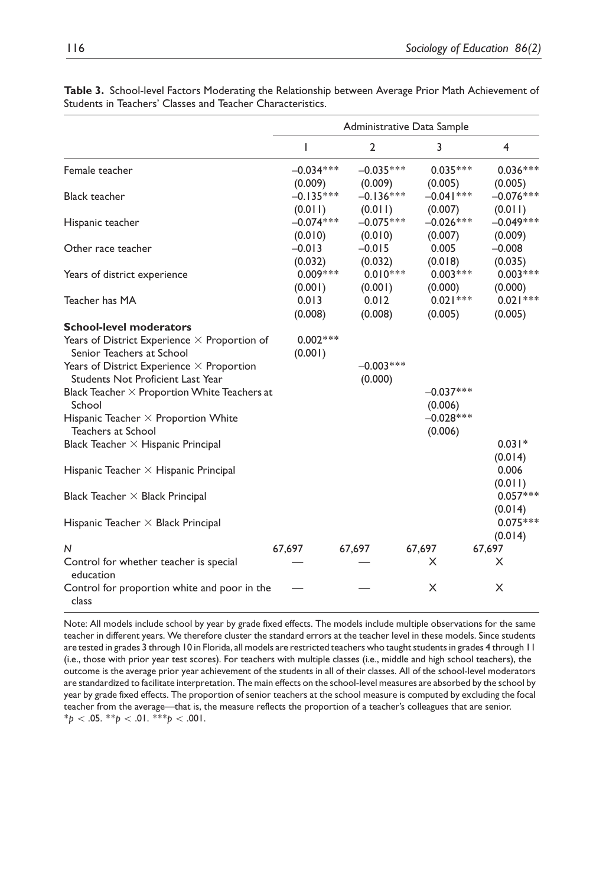|                                                                                       |                       | Administrative Data Sample |                        |                |  |
|---------------------------------------------------------------------------------------|-----------------------|----------------------------|------------------------|----------------|--|
|                                                                                       | I                     | $\overline{2}$             | 3                      | $\overline{4}$ |  |
| Female teacher                                                                        | $-0.034***$           | $-0.035***$                | $0.035***$             | $0.036***$     |  |
|                                                                                       | (0.009)               | (0.009)                    | (0.005)                | (0.005)        |  |
| <b>Black teacher</b>                                                                  | $-0.135***$           | $-0.136***$                | $-0.041***$            | $-0.076***$    |  |
|                                                                                       | (0.011)               | (0.011)                    | (0.007)                | (0.011)        |  |
| Hispanic teacher                                                                      | $-0.074***$           | $-0.075***$                | $-0.026***$            | $-0.049***$    |  |
|                                                                                       | (0.010)               | (0.010)                    | (0.007)                | (0.009)        |  |
| Other race teacher                                                                    | $-0.013$              | $-0.015$                   | 0.005                  | $-0.008$       |  |
|                                                                                       | (0.032)               | (0.032)                    | (0.018)                | (0.035)        |  |
| Years of district experience                                                          | $0.009***$            | $0.010***$                 | $0.003***$             | $0.003***$     |  |
|                                                                                       | (0.001)               | (0.001)                    | (0.000)                | (0.000)        |  |
| Teacher has MA                                                                        | 0.013                 | 0.012                      | $0.021***$             | $0.021***$     |  |
|                                                                                       | (0.008)               | (0.008)                    | (0.005)                | (0.005)        |  |
| <b>School-level moderators</b>                                                        |                       |                            |                        |                |  |
| Years of District Experience $\times$ Proportion of<br>Senior Teachers at School      | $0.002***$<br>(0.001) |                            |                        |                |  |
| Years of District Experience $\times$ Proportion<br>Students Not Proficient Last Year |                       | $-0.003***$<br>(0.000)     |                        |                |  |
| Black Teacher × Proportion White Teachers at<br>School                                |                       |                            | $-0.037***$<br>(0.006) |                |  |
| Hispanic Teacher $\times$ Proportion White                                            |                       |                            | $-0.028***$            |                |  |
| Teachers at School                                                                    |                       |                            | (0.006)                |                |  |
| Black Teacher $\times$ Hispanic Principal                                             |                       |                            |                        | $0.031*$       |  |
|                                                                                       |                       |                            |                        | (0.014)        |  |
| Hispanic Teacher $\times$ Hispanic Principal                                          |                       |                            |                        | 0.006          |  |
|                                                                                       |                       |                            |                        | (0.011)        |  |
| Black Teacher $\times$ Black Principal                                                |                       |                            |                        | $0.057***$     |  |
|                                                                                       |                       |                            |                        | (0.014)        |  |
| Hispanic Teacher $\times$ Black Principal                                             |                       |                            |                        | $0.075***$     |  |
|                                                                                       |                       |                            |                        | (0.014)        |  |
| N                                                                                     | 67,697                | 67,697                     | 67,697                 | 67,697         |  |
| Control for whether teacher is special<br>education                                   |                       |                            | X                      | X              |  |
| Control for proportion white and poor in the<br>class                                 |                       |                            | X                      | X              |  |

Table 3. School-level Factors Moderating the Relationship between Average Prior Math Achievement of Students in Teachers' Classes and Teacher Characteristics.

Note: All models include school by year by grade fixed effects. The models include multiple observations for the same teacher in different years. We therefore cluster the standard errors at the teacher level in these models. Since students are tested in grades 3 through 10 in Florida, all models are restricted teachers who taught students in grades 4 through 11 (i.e., those with prior year test scores). For teachers with multiple classes (i.e., middle and high school teachers), the outcome is the average prior year achievement of the students in all of their classes. All of the school-level moderators are standardized to facilitate interpretation. The main effects on the school-level measures are absorbed by the school by year by grade fixed effects. The proportion of senior teachers at the school measure is computed by excluding the focal teacher from the average—that is, the measure reflects the proportion of a teacher's colleagues that are senior. \*p < .05. \*\*p < .01. \*\*\*p < .001.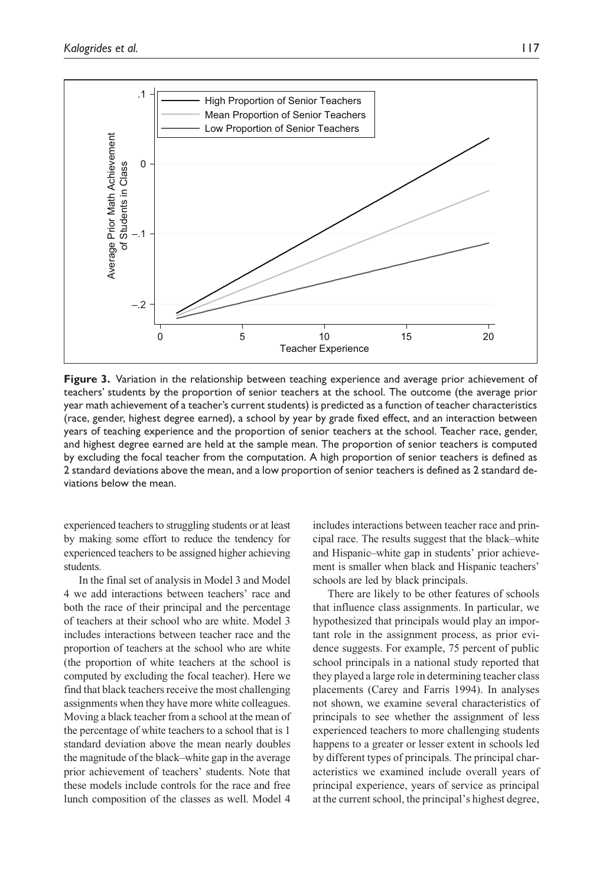

Figure 3. Variation in the relationship between teaching experience and average prior achievement of teachers' students by the proportion of senior teachers at the school. The outcome (the average prior year math achievement of a teacher's current students) is predicted as a function of teacher characteristics (race, gender, highest degree earned), a school by year by grade fixed effect, and an interaction between years of teaching experience and the proportion of senior teachers at the school. Teacher race, gender, and highest degree earned are held at the sample mean. The proportion of senior teachers is computed by excluding the focal teacher from the computation. A high proportion of senior teachers is defined as 2 standard deviations above the mean, and a low proportion of senior teachers is defined as 2 standard deviations below the mean.

experienced teachers to struggling students or at least by making some effort to reduce the tendency for experienced teachers to be assigned higher achieving students.

In the final set of analysis in Model 3 and Model 4 we add interactions between teachers' race and both the race of their principal and the percentage of teachers at their school who are white. Model 3 includes interactions between teacher race and the proportion of teachers at the school who are white (the proportion of white teachers at the school is computed by excluding the focal teacher). Here we find that black teachers receive the most challenging assignments when they have more white colleagues. Moving a black teacher from a school at the mean of the percentage of white teachers to a school that is 1 standard deviation above the mean nearly doubles the magnitude of the black–white gap in the average prior achievement of teachers' students. Note that these models include controls for the race and free lunch composition of the classes as well. Model 4 includes interactions between teacher race and principal race. The results suggest that the black–white and Hispanic–white gap in students' prior achievement is smaller when black and Hispanic teachers' schools are led by black principals.

There are likely to be other features of schools that influence class assignments. In particular, we hypothesized that principals would play an important role in the assignment process, as prior evidence suggests. For example, 75 percent of public school principals in a national study reported that they played a large role in determining teacher class placements (Carey and Farris 1994). In analyses not shown, we examine several characteristics of principals to see whether the assignment of less experienced teachers to more challenging students happens to a greater or lesser extent in schools led by different types of principals. The principal characteristics we examined include overall years of principal experience, years of service as principal at the current school, the principal's highest degree,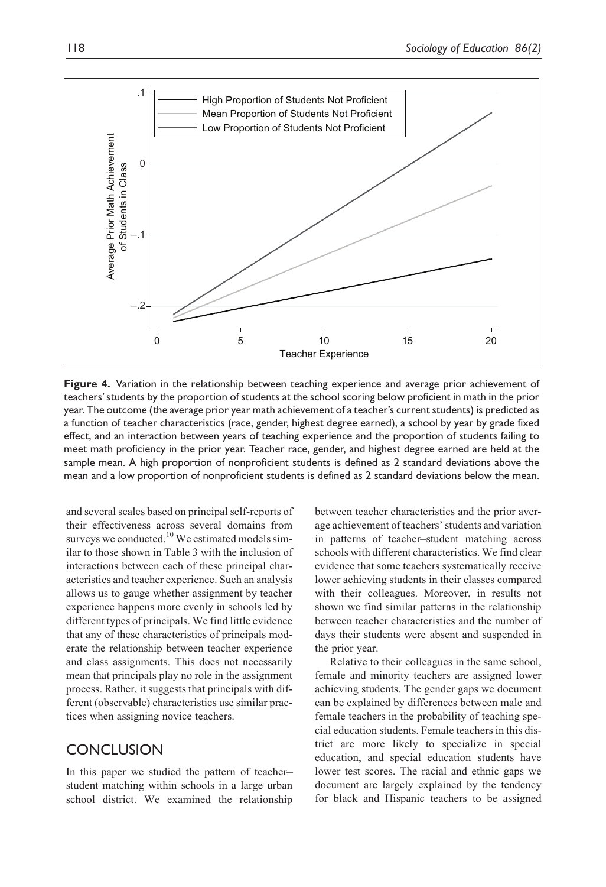

Figure 4. Variation in the relationship between teaching experience and average prior achievement of teachers' students by the proportion of students at the school scoring below proficient in math in the prior year. The outcome (the average prior year math achievement of a teacher's current students) is predicted as a function of teacher characteristics (race, gender, highest degree earned), a school by year by grade fixed effect, and an interaction between years of teaching experience and the proportion of students failing to meet math proficiency in the prior year. Teacher race, gender, and highest degree earned are held at the sample mean. A high proportion of nonproficient students is defined as 2 standard deviations above the mean and a low proportion of nonproficient students is defined as 2 standard deviations below the mean.

and several scales based on principal self-reports of their effectiveness across several domains from surveys we conducted.<sup>10</sup> We estimated models similar to those shown in Table 3 with the inclusion of interactions between each of these principal characteristics and teacher experience. Such an analysis allows us to gauge whether assignment by teacher experience happens more evenly in schools led by different types of principals. We find little evidence that any of these characteristics of principals moderate the relationship between teacher experience and class assignments. This does not necessarily mean that principals play no role in the assignment process. Rather, it suggests that principals with different (observable) characteristics use similar practices when assigning novice teachers.

## **CONCLUSION**

In this paper we studied the pattern of teacher– student matching within schools in a large urban school district. We examined the relationship between teacher characteristics and the prior average achievement of teachers' students and variation in patterns of teacher–student matching across schools with different characteristics. We find clear evidence that some teachers systematically receive lower achieving students in their classes compared with their colleagues. Moreover, in results not shown we find similar patterns in the relationship between teacher characteristics and the number of days their students were absent and suspended in the prior year.

Relative to their colleagues in the same school, female and minority teachers are assigned lower achieving students. The gender gaps we document can be explained by differences between male and female teachers in the probability of teaching special education students. Female teachers in this district are more likely to specialize in special education, and special education students have lower test scores. The racial and ethnic gaps we document are largely explained by the tendency for black and Hispanic teachers to be assigned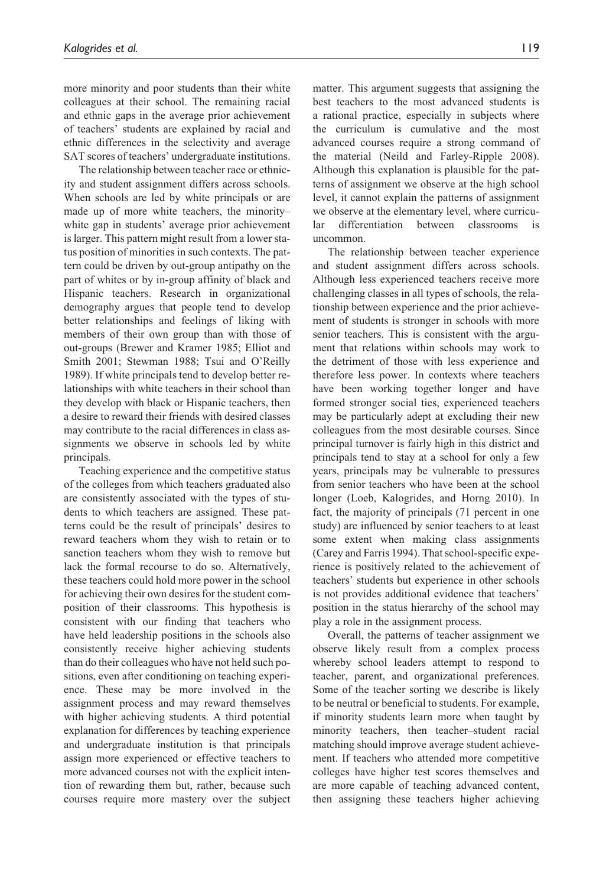more minority and poor students than their white colleagues at their school. The remaining racial and ethnic gaps in the average prior achievement of teachers' students are explained by racial and ethnic differences in the selectivity and average SAT scores of teachers' undergraduate institutions.

The relationship between teacher race or ethnicity and student assignment differs across schools. When schools are led by white principals or are made up of more white teachers, the minority– white gap in students' average prior achievement is larger. This pattern might result from a lower status position of minorities in such contexts. The pattern could be driven by out-group antipathy on the part of whites or by in-group affinity of black and Hispanic teachers. Research in organizational demography argues that people tend to develop better relationships and feelings of liking with members of their own group than with those of out-groups (Brewer and Kramer 1985; Elliot and Smith 2001; Stewman 1988; Tsui and O'Reilly 1989). If white principals tend to develop better relationships with white teachers in their school than they develop with black or Hispanic teachers, then a desire to reward their friends with desired classes may contribute to the racial differences in class assignments we observe in schools led by white principals.

Teaching experience and the competitive status of the colleges from which teachers graduated also are consistently associated with the types of students to which teachers are assigned. These patterns could be the result of principals' desires to reward teachers whom they wish to retain or to sanction teachers whom they wish to remove but lack the formal recourse to do so. Alternatively, these teachers could hold more power in the school for achieving their own desires for the student composition of their classrooms. This hypothesis is consistent with our finding that teachers who have held leadership positions in the schools also consistently receive higher achieving students than do their colleagues who have not held such positions, even after conditioning on teaching experience. These may be more involved in the assignment process and may reward themselves with higher achieving students. A third potential explanation for differences by teaching experience and undergraduate institution is that principals assign more experienced or effective teachers to more advanced courses not with the explicit intention of rewarding them but, rather, because such courses require more mastery over the subject matter. This argument suggests that assigning the best teachers to the most advanced students is a rational practice, especially in subjects where the curriculum is cumulative and the most advanced courses require a strong command of the material (Neild and Farley-Ripple 2008). Although this explanation is plausible for the patterns of assignment we observe at the high school level, it cannot explain the patterns of assignment we observe at the elementary level, where curricular differentiation between classrooms uncommon.

The relationship between teacher experience and student assignment differs across schools. Although less experienced teachers receive more challenging classes in all types of schools, the relationship between experience and the prior achievement of students is stronger in schools with more senior teachers. This is consistent with the argument that relations within schools may work to the detriment of those with less experience and therefore less power. In contexts where teachers have been working together longer and have formed stronger social ties, experienced teachers may be particularly adept at excluding their new colleagues from the most desirable courses. Since principal turnover is fairly high in this district and principals tend to stay at a school for only a few years, principals may be vulnerable to pressures from senior teachers who have been at the school longer (Loeb, Kalogrides, and Horng 2010). In fact, the majority of principals (71 percent in one study) are influenced by senior teachers to at least some extent when making class assignments (Carey and Farris 1994). That school-specific experience is positively related to the achievement of teachers' students but experience in other schools is not provides additional evidence that teachers' position in the status hierarchy of the school may play a role in the assignment process.

Overall, the patterns of teacher assignment we observe likely result from a complex process whereby school leaders attempt to respond to teacher, parent, and organizational preferences. Some of the teacher sorting we describe is likely to be neutral or beneficial to students. For example, if minority students learn more when taught by minority teachers, then teacher–student racial matching should improve average student achievement. If teachers who attended more competitive colleges have higher test scores themselves and are more capable of teaching advanced content, then assigning these teachers higher achieving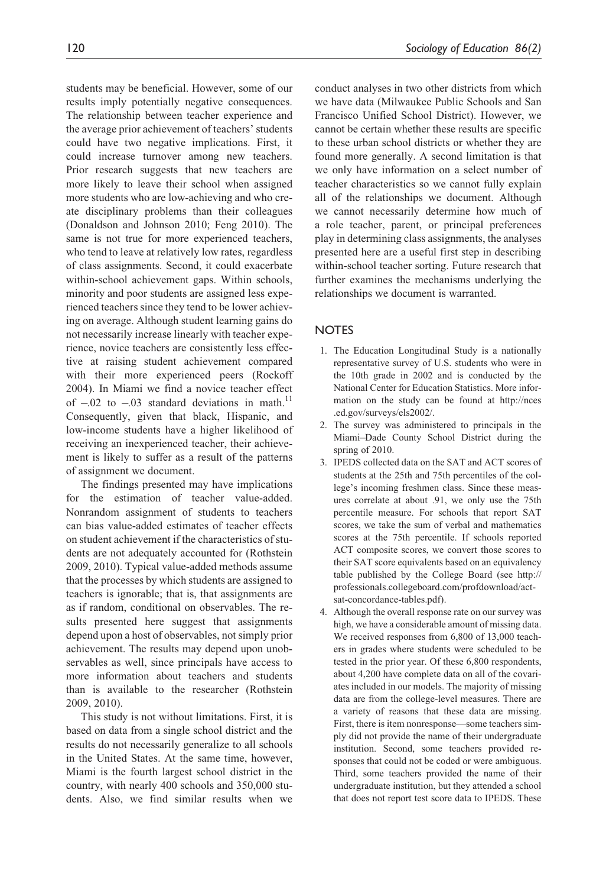students may be beneficial. However, some of our results imply potentially negative consequences. The relationship between teacher experience and the average prior achievement of teachers' students could have two negative implications. First, it could increase turnover among new teachers. Prior research suggests that new teachers are more likely to leave their school when assigned more students who are low-achieving and who create disciplinary problems than their colleagues (Donaldson and Johnson 2010; Feng 2010). The same is not true for more experienced teachers, who tend to leave at relatively low rates, regardless of class assignments. Second, it could exacerbate within-school achievement gaps. Within schools, minority and poor students are assigned less experienced teachers since they tend to be lower achieving on average. Although student learning gains do not necessarily increase linearly with teacher experience, novice teachers are consistently less effective at raising student achievement compared with their more experienced peers (Rockoff 2004). In Miami we find a novice teacher effect of  $-0.02$  to  $-0.03$  standard deviations in math.<sup>11</sup> Consequently, given that black, Hispanic, and low-income students have a higher likelihood of receiving an inexperienced teacher, their achievement is likely to suffer as a result of the patterns of assignment we document.

The findings presented may have implications for the estimation of teacher value-added. Nonrandom assignment of students to teachers can bias value-added estimates of teacher effects on student achievement if the characteristics of students are not adequately accounted for (Rothstein 2009, 2010). Typical value-added methods assume that the processes by which students are assigned to teachers is ignorable; that is, that assignments are as if random, conditional on observables. The results presented here suggest that assignments depend upon a host of observables, not simply prior achievement. The results may depend upon unobservables as well, since principals have access to more information about teachers and students than is available to the researcher (Rothstein 2009, 2010).

This study is not without limitations. First, it is based on data from a single school district and the results do not necessarily generalize to all schools in the United States. At the same time, however, Miami is the fourth largest school district in the country, with nearly 400 schools and 350,000 students. Also, we find similar results when we conduct analyses in two other districts from which we have data (Milwaukee Public Schools and San Francisco Unified School District). However, we cannot be certain whether these results are specific to these urban school districts or whether they are found more generally. A second limitation is that we only have information on a select number of teacher characteristics so we cannot fully explain all of the relationships we document. Although we cannot necessarily determine how much of a role teacher, parent, or principal preferences play in determining class assignments, the analyses presented here are a useful first step in describing within-school teacher sorting. Future research that further examines the mechanisms underlying the relationships we document is warranted.

### **NOTES**

- 1. The Education Longitudinal Study is a nationally representative survey of U.S. students who were in the 10th grade in 2002 and is conducted by the National Center for Education Statistics. More information on the study can be found at http://nces .ed.gov/surveys/els2002/.
- 2. The survey was administered to principals in the Miami–Dade County School District during the spring of 2010.
- 3. IPEDS collected data on the SAT and ACT scores of students at the 25th and 75th percentiles of the college's incoming freshmen class. Since these measures correlate at about .91, we only use the 75th percentile measure. For schools that report SAT scores, we take the sum of verbal and mathematics scores at the 75th percentile. If schools reported ACT composite scores, we convert those scores to their SAT score equivalents based on an equivalency table published by the College Board (see http:// professionals.collegeboard.com/profdownload/actsat-concordance-tables.pdf).
- 4. Although the overall response rate on our survey was high, we have a considerable amount of missing data. We received responses from 6,800 of 13,000 teachers in grades where students were scheduled to be tested in the prior year. Of these 6,800 respondents, about 4,200 have complete data on all of the covariates included in our models. The majority of missing data are from the college-level measures. There are a variety of reasons that these data are missing. First, there is item nonresponse—some teachers simply did not provide the name of their undergraduate institution. Second, some teachers provided responses that could not be coded or were ambiguous. Third, some teachers provided the name of their undergraduate institution, but they attended a school that does not report test score data to IPEDS. These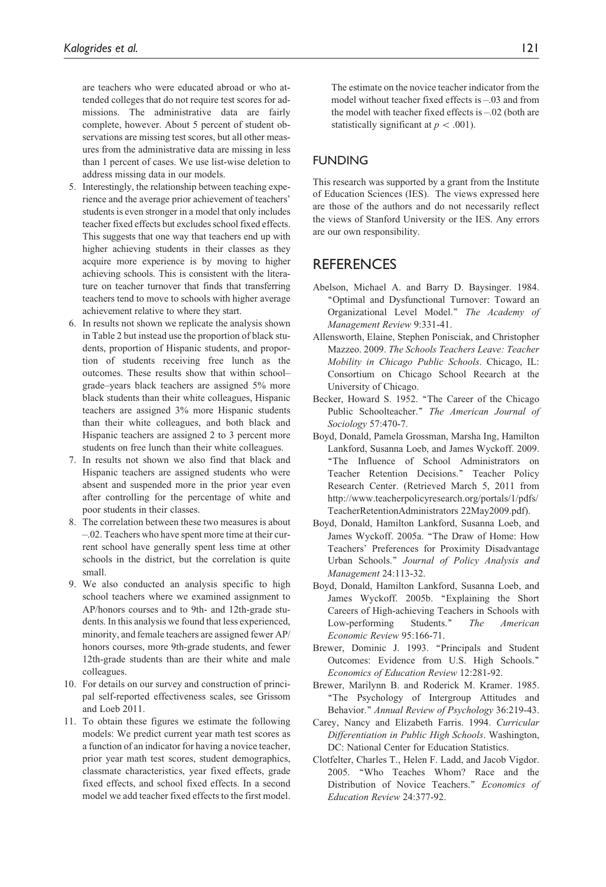are teachers who were educated abroad or who attended colleges that do not require test scores for admissions. The administrative data are fairly complete, however. About 5 percent of student observations are missing test scores, but all other measures from the administrative data are missing in less than 1 percent of cases. We use list-wise deletion to address missing data in our models.

- 5. Interestingly, the relationship between teaching experience and the average prior achievement of teachers' students is even stronger in a model that only includes teacher fixed effects but excludes school fixed effects. This suggests that one way that teachers end up with higher achieving students in their classes as they acquire more experience is by moving to higher achieving schools. This is consistent with the literature on teacher turnover that finds that transferring teachers tend to move to schools with higher average achievement relative to where they start.
- 6. In results not shown we replicate the analysis shown in Table 2 but instead use the proportion of black students, proportion of Hispanic students, and proportion of students receiving free lunch as the outcomes. These results show that within school– grade–years black teachers are assigned 5% more black students than their white colleagues, Hispanic teachers are assigned 3% more Hispanic students than their white colleagues, and both black and Hispanic teachers are assigned 2 to 3 percent more students on free lunch than their white colleagues.
- 7. In results not shown we also find that black and Hispanic teachers are assigned students who were absent and suspended more in the prior year even after controlling for the percentage of white and poor students in their classes.
- 8. The correlation between these two measures is about –.02. Teachers who have spent more time at their current school have generally spent less time at other schools in the district, but the correlation is quite small.
- 9. We also conducted an analysis specific to high school teachers where we examined assignment to AP/honors courses and to 9th- and 12th-grade students. In this analysis we found that less experienced, minority, and female teachers are assigned fewer AP/ honors courses, more 9th-grade students, and fewer 12th-grade students than are their white and male colleagues.
- 10. For details on our survey and construction of principal self-reported effectiveness scales, see Grissom and Loeb 2011.
- 11. To obtain these figures we estimate the following models: We predict current year math test scores as a function of an indicator for having a novice teacher, prior year math test scores, student demographics, classmate characteristics, year fixed effects, grade fixed effects, and school fixed effects. In a second model we add teacher fixed effects to the first model.

The estimate on the novice teacher indicator from the model without teacher fixed effects is –.03 and from the model with teacher fixed effects is –.02 (both are statistically significant at  $p < .001$ ).

### FUNDING

This research was supported by a grant from the Institute of Education Sciences (IES). The views expressed here are those of the authors and do not necessarily reflect the views of Stanford University or the IES. Any errors are our own responsibility.

### **REFERENCES**

- Abelson, Michael A. and Barry D. Baysinger. 1984. ''Optimal and Dysfunctional Turnover: Toward an Organizational Level Model.'' The Academy of Management Review 9:331-41.
- Allensworth, Elaine, Stephen Ponisciak, and Christopher Mazzeo. 2009. The Schools Teachers Leave: Teacher Mobility in Chicago Public Schools. Chicago, IL: Consortium on Chicago School Reearch at the University of Chicago.
- Becker, Howard S. 1952. "The Career of the Chicago Public Schoolteacher.'' The American Journal of Sociology 57:470-7.
- Boyd, Donald, Pamela Grossman, Marsha Ing, Hamilton Lankford, Susanna Loeb, and James Wyckoff. 2009. ''The Influence of School Administrators on Teacher Retention Decisions.'' Teacher Policy Research Center. (Retrieved March 5, 2011 from http://www.teacherpolicyresearch.org/portals/1/pdfs/ TeacherRetentionAdministrators 22May2009.pdf).
- Boyd, Donald, Hamilton Lankford, Susanna Loeb, and James Wyckoff. 2005a. ''The Draw of Home: How Teachers' Preferences for Proximity Disadvantage Urban Schools.'' Journal of Policy Analysis and Management 24:113-32.
- Boyd, Donald, Hamilton Lankford, Susanna Loeb, and James Wyckoff. 2005b. "Explaining the Short Careers of High-achieving Teachers in Schools with Low-performing Students." The American Economic Review 95:166-71.
- Brewer, Dominic J. 1993. "Principals and Student Outcomes: Evidence from U.S. High Schools.'' Economics of Education Review 12:281-92.
- Brewer, Marilynn B. and Roderick M. Kramer. 1985. ''The Psychology of Intergroup Attitudes and Behavior.'' Annual Review of Psychology 36:219-43.
- Carey, Nancy and Elizabeth Farris. 1994. Curricular Differentiation in Public High Schools. Washington, DC: National Center for Education Statistics.
- Clotfelter, Charles T., Helen F. Ladd, and Jacob Vigdor. 2005. ''Who Teaches Whom? Race and the Distribution of Novice Teachers.'' Economics of Education Review 24:377-92.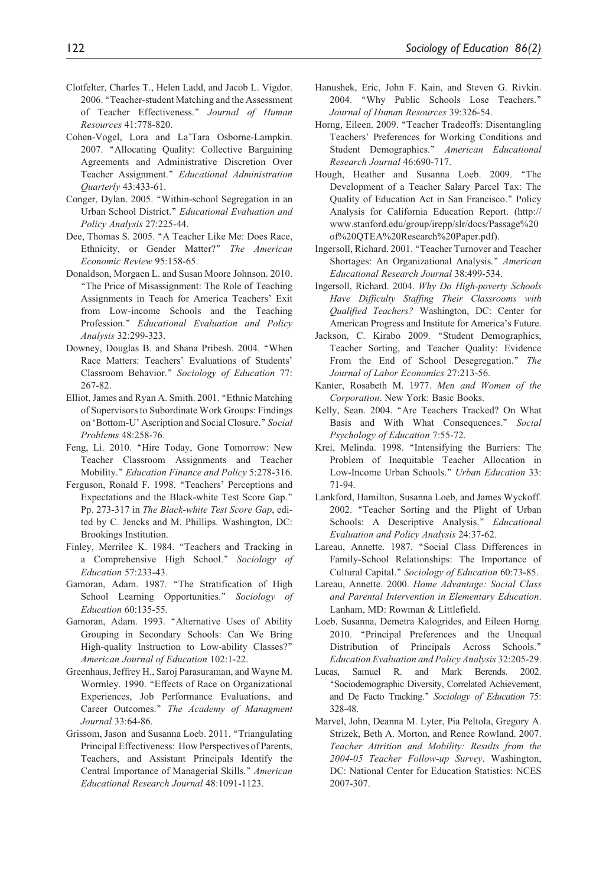- Clotfelter, Charles T., Helen Ladd, and Jacob L. Vigdor. 2006. ''Teacher-student Matching and the Assessment of Teacher Effectiveness.'' Journal of Human Resources 41:778-820.
- Cohen-Vogel, Lora and La'Tara Osborne-Lampkin. 2007. "Allocating Quality: Collective Bargaining Agreements and Administrative Discretion Over Teacher Assignment.'' Educational Administration Quarterly 43:433-61.
- Conger, Dylan. 2005. ''Within-school Segregation in an Urban School District.'' Educational Evaluation and Policy Analysis 27:225-44.
- Dee, Thomas S. 2005. "A Teacher Like Me: Does Race, Ethnicity, or Gender Matter?" The American Economic Review 95:158-65.
- Donaldson, Morgaen L. and Susan Moore Johnson. 2010. ''The Price of Misassignment: The Role of Teaching Assignments in Teach for America Teachers' Exit from Low-income Schools and the Teaching Profession.'' Educational Evaluation and Policy Analysis 32:299-323.
- Downey, Douglas B. and Shana Pribesh. 2004. ''When Race Matters: Teachers' Evaluations of Students' Classroom Behavior.'' Sociology of Education 77: 267-82.
- Elliot, James and Ryan A. Smith. 2001. "Ethnic Matching of Supervisors to Subordinate Work Groups: Findings on 'Bottom-U' Ascription and Social Closure.'' Social Problems 48:258-76.
- Feng, Li. 2010. "Hire Today, Gone Tomorrow: New Teacher Classroom Assignments and Teacher Mobility.'' Education Finance and Policy 5:278-316.
- Ferguson, Ronald F. 1998. "Teachers' Perceptions and Expectations and the Black-white Test Score Gap.'' Pp. 273-317 in The Black-white Test Score Gap, edited by C. Jencks and M. Phillips. Washington, DC: Brookings Institution.
- Finley, Merrilee K. 1984. "Teachers and Tracking in a Comprehensive High School.'' Sociology of Education 57:233-43.
- Gamoran, Adam. 1987. "The Stratification of High School Learning Opportunities." Sociology of Education 60:135-55.
- Gamoran, Adam. 1993. "Alternative Uses of Ability Grouping in Secondary Schools: Can We Bring High-quality Instruction to Low-ability Classes?'' American Journal of Education 102:1-22.
- Greenhaus, Jeffrey H., Saroj Parasuraman, and Wayne M. Wormley. 1990. "Effects of Race on Organizational Experiences, Job Performance Evaluations, and Career Outcomes.'' The Academy of Managment Journal 33:64-86.
- Grissom, Jason and Susanna Loeb. 2011. ''Triangulating Principal Effectiveness: How Perspectives of Parents, Teachers, and Assistant Principals Identify the Central Importance of Managerial Skills.'' American Educational Research Journal 48:1091-1123.
- Hanushek, Eric, John F. Kain, and Steven G. Rivkin. 2004. ''Why Public Schools Lose Teachers.'' Journal of Human Resources 39:326-54.
- Horng, Eileen. 2009. "Teacher Tradeoffs: Disentangling Teachers' Preferences for Working Conditions and Student Demographics.'' American Educational Research Journal 46:690-717.
- Hough, Heather and Susanna Loeb. 2009. "The Development of a Teacher Salary Parcel Tax: The Quality of Education Act in San Francisco.'' Policy Analysis for California Education Report. (http:// www.stanford.edu/group/irepp/slr/docs/Passage%20 of%20QTEA%20Research%20Paper.pdf).
- Ingersoll, Richard. 2001. ''Teacher Turnover and Teacher Shortages: An Organizational Analysis." American Educational Research Journal 38:499-534.
- Ingersoll, Richard. 2004. Why Do High-poverty Schools Have Difficulty Staffing Their Classrooms with Qualified Teachers? Washington, DC: Center for American Progress and Institute for America's Future.
- Jackson, C. Kirabo 2009. "Student Demographics, Teacher Sorting, and Teacher Quality: Evidence From the End of School Desegregation." The Journal of Labor Economics 27:213-56.
- Kanter, Rosabeth M. 1977. Men and Women of the Corporation. New York: Basic Books.
- Kelly, Sean. 2004. "Are Teachers Tracked? On What Basis and With What Consequences." Social Psychology of Education 7:55-72.
- Krei, Melinda. 1998. "Intensifying the Barriers: The Problem of Inequitable Teacher Allocation in Low-Income Urban Schools.'' Urban Education 33: 71-94.
- Lankford, Hamilton, Susanna Loeb, and James Wyckoff. 2002. "Teacher Sorting and the Plight of Urban Schools: A Descriptive Analysis." Educational Evaluation and Policy Analysis 24:37-62.
- Lareau, Annette. 1987. "Social Class Differences in Family-School Relationships: The Importance of Cultural Capital.'' Sociology of Education 60:73-85.
- Lareau, Annette. 2000. Home Advantage: Social Class and Parental Intervention in Elementary Education. Lanham, MD: Rowman & Littlefield.
- Loeb, Susanna, Demetra Kalogrides, and Eileen Horng. 2010. ''Principal Preferences and the Unequal Distribution of Principals Across Schools.'' Education Evaluation and Policy Analysis 32:205-29.
- Lucas, Samuel R. and Mark Berends. 2002. ''Sociodemographic Diversity, Correlated Achievement, and De Facto Tracking." Sociology of Education 75: 328-48.
- Marvel, John, Deanna M. Lyter, Pia Peltola, Gregory A. Strizek, Beth A. Morton, and Renee Rowland. 2007. Teacher Attrition and Mobility: Results from the 2004-05 Teacher Follow-up Survey. Washington, DC: National Center for Education Statistics: NCES 2007-307.